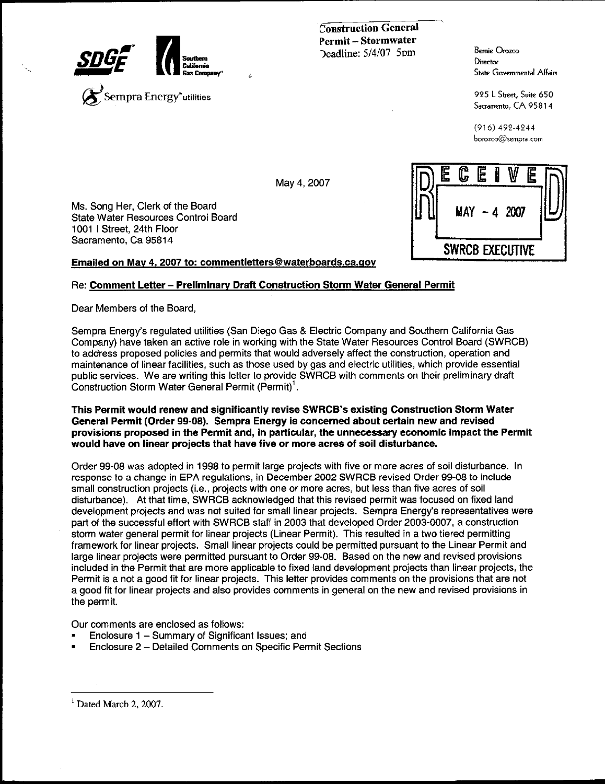

**Construction General** Permit-Stormwater  $Deadline: 5/4/07$  5pm

**Bemie Orozco** Director **State Governmental Affairs** 

925 L Street, Suite 650 Sacramento, CA 95814

 $(916)$  492-4244 borozco@sempra.com

Ms. Song Her, Clerk of the Board State Water Resources Control Board 1001 | Street, 24th Floor Sacramento, Ca 95814

Emailed on May 4, 2007 to: commentletters@waterboards.ca.gov

### Re: Comment Letter - Preliminary Draft Construction Storm Water General Permit

Dear Members of the Board,

Sempra Energy's regulated utilities (San Diego Gas & Electric Company and Southern California Gas Company) have taken an active role in working with the State Water Resources Control Board (SWRCB) to address proposed policies and permits that would adversely affect the construction, operation and maintenance of linear facilities, such as those used by gas and electric utilities, which provide essential public services. We are writing this letter to provide SWRCB with comments on their preliminary draft Construction Storm Water General Permit (Permit)<sup>1</sup>.

May 4, 2007

This Permit would renew and significantly revise SWRCB's existing Construction Storm Water General Permit (Order 99-08). Sempra Energy is concerned about certain new and revised provisions proposed in the Permit and, in particular, the unnecessary economic impact the Permit would have on linear projects that have five or more acres of soil disturbance.

Order 99-08 was adopted in 1998 to permit large projects with five or more acres of soil disturbance. In response to a change in EPA regulations, in December 2002 SWRCB revised Order 99-08 to include small construction projects (i.e., projects with one or more acres, but less than five acres of soil disturbance). At that time, SWRCB acknowledged that this revised permit was focused on fixed land development projects and was not suited for small linear projects. Sempra Energy's representatives were part of the successful effort with SWRCB staff in 2003 that developed Order 2003-0007, a construction storm water general permit for linear projects (Linear Permit). This resulted in a two tiered permitting framework for linear projects. Small linear projects could be permitted pursuant to the Linear Permit and large linear projects were permitted pursuant to Order 99-08. Based on the new and revised provisions included in the Permit that are more applicable to fixed land development projects than linear projects, the Permit is a not a good fit for linear projects. This letter provides comments on the provisions that are not a good fit for linear projects and also provides comments in general on the new and revised provisions in the permit.

Our comments are enclosed as follows:

- Enclosure 1 Summary of Significant Issues; and
- Enclosure 2 Detailed Comments on Specific Permit Sections

<sup>1</sup> Dated March 2, 2007.

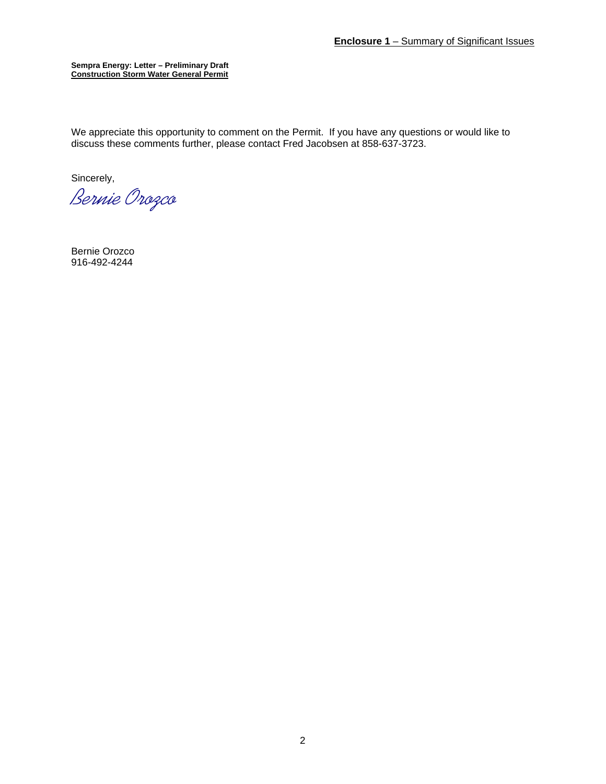We appreciate this opportunity to comment on the Permit. If you have any questions or would like to discuss these comments further, please contact Fred Jacobsen at 858-637-3723.

Sincerely,

*Bernie Orozco* 

Bernie Orozco 916-492-4244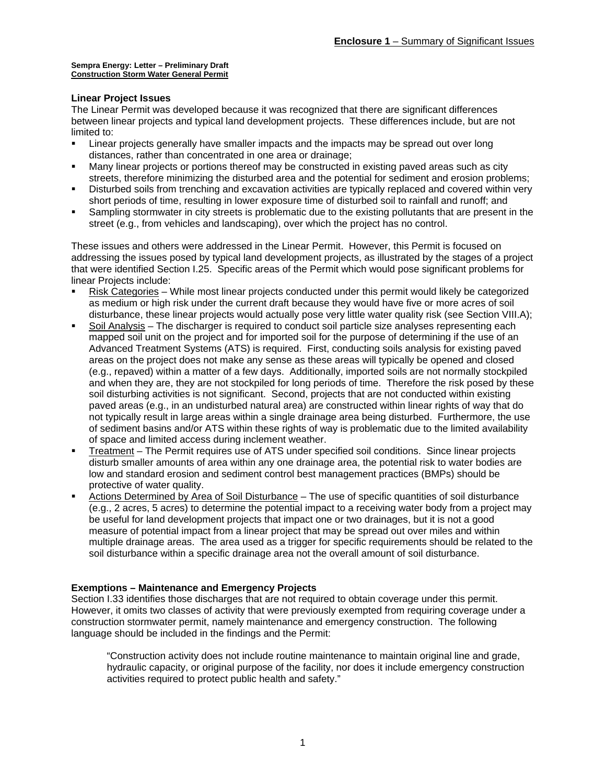#### **Linear Project Issues**

The Linear Permit was developed because it was recognized that there are significant differences between linear projects and typical land development projects. These differences include, but are not limited to:

- Linear projects generally have smaller impacts and the impacts may be spread out over long distances, rather than concentrated in one area or drainage;
- Many linear projects or portions thereof may be constructed in existing paved areas such as city streets, therefore minimizing the disturbed area and the potential for sediment and erosion problems;
- Disturbed soils from trenching and excavation activities are typically replaced and covered within very short periods of time, resulting in lower exposure time of disturbed soil to rainfall and runoff; and
- Sampling stormwater in city streets is problematic due to the existing pollutants that are present in the street (e.g., from vehicles and landscaping), over which the project has no control.

These issues and others were addressed in the Linear Permit. However, this Permit is focused on addressing the issues posed by typical land development projects, as illustrated by the stages of a project that were identified Section I.25. Specific areas of the Permit which would pose significant problems for linear Projects include:

- Risk Categories While most linear projects conducted under this permit would likely be categorized as medium or high risk under the current draft because they would have five or more acres of soil disturbance, these linear projects would actually pose very little water quality risk (see Section VIII.A);
- Soil Analysis The discharger is required to conduct soil particle size analyses representing each mapped soil unit on the project and for imported soil for the purpose of determining if the use of an Advanced Treatment Systems (ATS) is required. First, conducting soils analysis for existing paved areas on the project does not make any sense as these areas will typically be opened and closed (e.g., repaved) within a matter of a few days. Additionally, imported soils are not normally stockpiled and when they are, they are not stockpiled for long periods of time. Therefore the risk posed by these soil disturbing activities is not significant. Second, projects that are not conducted within existing paved areas (e.g., in an undisturbed natural area) are constructed within linear rights of way that do not typically result in large areas within a single drainage area being disturbed. Furthermore, the use of sediment basins and/or ATS within these rights of way is problematic due to the limited availability of space and limited access during inclement weather.
- Treatment The Permit requires use of ATS under specified soil conditions. Since linear projects disturb smaller amounts of area within any one drainage area, the potential risk to water bodies are low and standard erosion and sediment control best management practices (BMPs) should be protective of water quality.
- Actions Determined by Area of Soil Disturbance The use of specific quantities of soil disturbance (e.g., 2 acres, 5 acres) to determine the potential impact to a receiving water body from a project may be useful for land development projects that impact one or two drainages, but it is not a good measure of potential impact from a linear project that may be spread out over miles and within multiple drainage areas. The area used as a trigger for specific requirements should be related to the soil disturbance within a specific drainage area not the overall amount of soil disturbance.

### **Exemptions – Maintenance and Emergency Projects**

Section I.33 identifies those discharges that are not required to obtain coverage under this permit. However, it omits two classes of activity that were previously exempted from requiring coverage under a construction stormwater permit, namely maintenance and emergency construction. The following language should be included in the findings and the Permit:

"Construction activity does not include routine maintenance to maintain original line and grade, hydraulic capacity, or original purpose of the facility, nor does it include emergency construction activities required to protect public health and safety."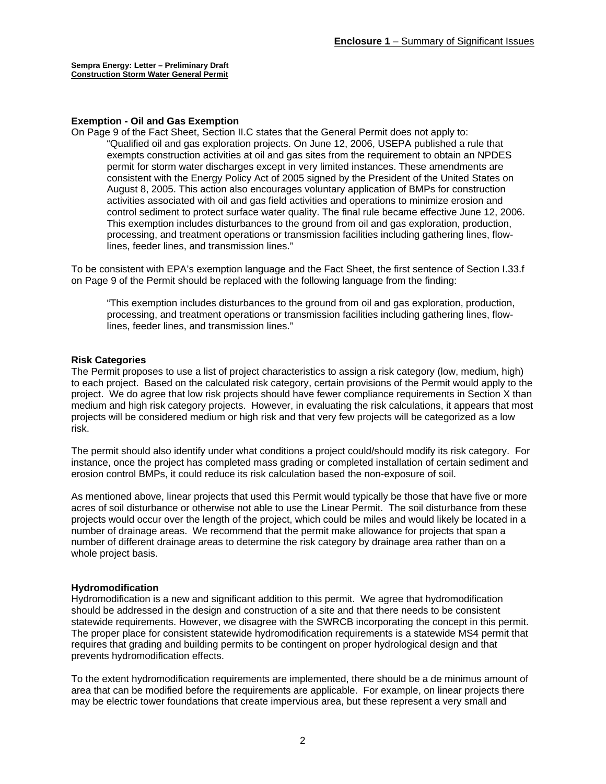#### **Exemption - Oil and Gas Exemption**

On Page 9 of the Fact Sheet, Section II.C states that the General Permit does not apply to: "Qualified oil and gas exploration projects. On June 12, 2006, USEPA published a rule that exempts construction activities at oil and gas sites from the requirement to obtain an NPDES permit for storm water discharges except in very limited instances. These amendments are consistent with the Energy Policy Act of 2005 signed by the President of the United States on August 8, 2005. This action also encourages voluntary application of BMPs for construction activities associated with oil and gas field activities and operations to minimize erosion and control sediment to protect surface water quality. The final rule became effective June 12, 2006. This exemption includes disturbances to the ground from oil and gas exploration, production, processing, and treatment operations or transmission facilities including gathering lines, flowlines, feeder lines, and transmission lines."

To be consistent with EPA's exemption language and the Fact Sheet, the first sentence of Section I.33.f on Page 9 of the Permit should be replaced with the following language from the finding:

"This exemption includes disturbances to the ground from oil and gas exploration, production, processing, and treatment operations or transmission facilities including gathering lines, flowlines, feeder lines, and transmission lines."

#### **Risk Categories**

The Permit proposes to use a list of project characteristics to assign a risk category (low, medium, high) to each project. Based on the calculated risk category, certain provisions of the Permit would apply to the project. We do agree that low risk projects should have fewer compliance requirements in Section X than medium and high risk category projects. However, in evaluating the risk calculations, it appears that most projects will be considered medium or high risk and that very few projects will be categorized as a low risk.

The permit should also identify under what conditions a project could/should modify its risk category. For instance, once the project has completed mass grading or completed installation of certain sediment and erosion control BMPs, it could reduce its risk calculation based the non-exposure of soil.

As mentioned above, linear projects that used this Permit would typically be those that have five or more acres of soil disturbance or otherwise not able to use the Linear Permit. The soil disturbance from these projects would occur over the length of the project, which could be miles and would likely be located in a number of drainage areas. We recommend that the permit make allowance for projects that span a number of different drainage areas to determine the risk category by drainage area rather than on a whole project basis.

#### **Hydromodification**

Hydromodification is a new and significant addition to this permit. We agree that hydromodification should be addressed in the design and construction of a site and that there needs to be consistent statewide requirements. However, we disagree with the SWRCB incorporating the concept in this permit. The proper place for consistent statewide hydromodification requirements is a statewide MS4 permit that requires that grading and building permits to be contingent on proper hydrological design and that prevents hydromodification effects.

To the extent hydromodification requirements are implemented, there should be a de minimus amount of area that can be modified before the requirements are applicable. For example, on linear projects there may be electric tower foundations that create impervious area, but these represent a very small and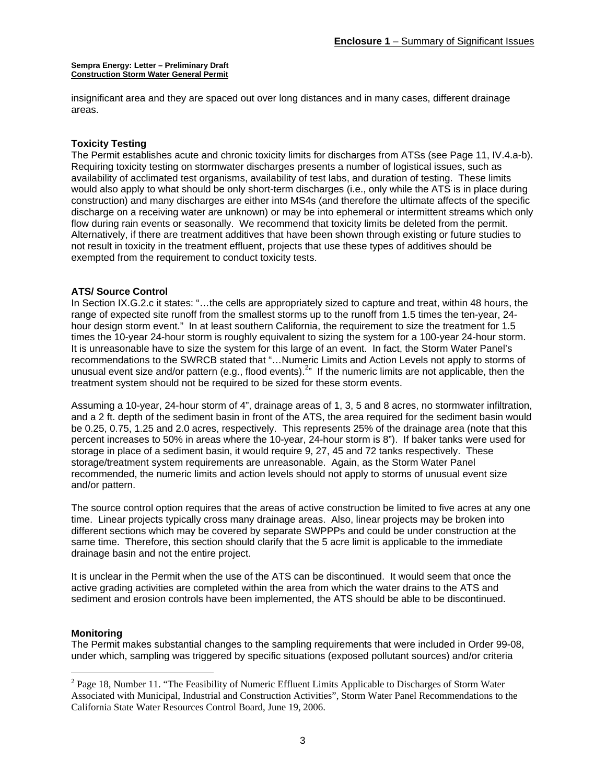insignificant area and they are spaced out over long distances and in many cases, different drainage areas.

#### **Toxicity Testing**

The Permit establishes acute and chronic toxicity limits for discharges from ATSs (see Page 11, IV.4.a-b). Requiring toxicity testing on stormwater discharges presents a number of logistical issues, such as availability of acclimated test organisms, availability of test labs, and duration of testing. These limits would also apply to what should be only short-term discharges (i.e., only while the ATS is in place during construction) and many discharges are either into MS4s (and therefore the ultimate affects of the specific discharge on a receiving water are unknown) or may be into ephemeral or intermittent streams which only flow during rain events or seasonally. We recommend that toxicity limits be deleted from the permit. Alternatively, if there are treatment additives that have been shown through existing or future studies to not result in toxicity in the treatment effluent, projects that use these types of additives should be exempted from the requirement to conduct toxicity tests.

#### **ATS/ Source Control**

In Section IX.G.2.c it states: "...the cells are appropriately sized to capture and treat, within 48 hours, the range of expected site runoff from the smallest storms up to the runoff from 1.5 times the ten-year, 24 hour design storm event." In at least southern California, the requirement to size the treatment for 1.5 times the 10-year 24-hour storm is roughly equivalent to sizing the system for a 100-year 24-hour storm. It is unreasonable have to size the system for this large of an event. In fact, the Storm Water Panel's recommendations to the SWRCB stated that "…Numeric Limits and Action Levels not apply to storms of unusual event size and/or pattern (e.g., flood events).<sup>2</sup> If the numeric limits are not applicable, then the treatment system should not be required to be sized for these storm events.

Assuming a 10-year, 24-hour storm of 4", drainage areas of 1, 3, 5 and 8 acres, no stormwater infiltration, and a 2 ft. depth of the sediment basin in front of the ATS, the area required for the sediment basin would be 0.25, 0.75, 1.25 and 2.0 acres, respectively. This represents 25% of the drainage area (note that this percent increases to 50% in areas where the 10-year, 24-hour storm is 8"). If baker tanks were used for storage in place of a sediment basin, it would require 9, 27, 45 and 72 tanks respectively. These storage/treatment system requirements are unreasonable. Again, as the Storm Water Panel recommended, the numeric limits and action levels should not apply to storms of unusual event size and/or pattern.

The source control option requires that the areas of active construction be limited to five acres at any one time. Linear projects typically cross many drainage areas. Also, linear projects may be broken into different sections which may be covered by separate SWPPPs and could be under construction at the same time. Therefore, this section should clarify that the 5 acre limit is applicable to the immediate drainage basin and not the entire project.

It is unclear in the Permit when the use of the ATS can be discontinued. It would seem that once the active grading activities are completed within the area from which the water drains to the ATS and sediment and erosion controls have been implemented, the ATS should be able to be discontinued.

#### **Monitoring**

 $\overline{a}$ 

The Permit makes substantial changes to the sampling requirements that were included in Order 99-08, under which, sampling was triggered by specific situations (exposed pollutant sources) and/or criteria

 $2^{2}$  Page 18, Number 11. "The Feasibility of Numeric Effluent Limits Applicable to Discharges of Storm Water Associated with Municipal, Industrial and Construction Activities", Storm Water Panel Recommendations to the California State Water Resources Control Board, June 19, 2006.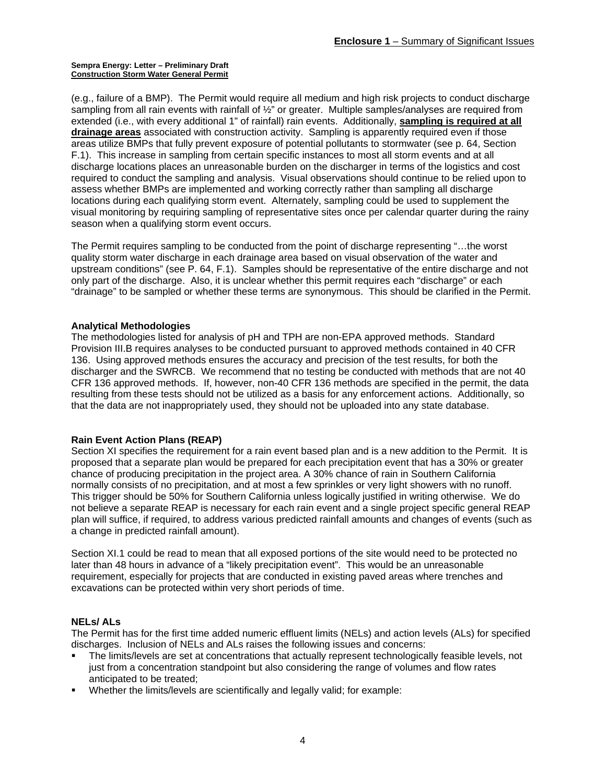(e.g., failure of a BMP). The Permit would require all medium and high risk projects to conduct discharge sampling from all rain events with rainfall of  $\frac{1}{2}$ " or greater. Multiple samples/analyses are required from extended (i.e., with every additional 1" of rainfall) rain events. Additionally, **sampling is required at all drainage areas** associated with construction activity. Sampling is apparently required even if those areas utilize BMPs that fully prevent exposure of potential pollutants to stormwater (see p. 64, Section F.1). This increase in sampling from certain specific instances to most all storm events and at all discharge locations places an unreasonable burden on the discharger in terms of the logistics and cost required to conduct the sampling and analysis. Visual observations should continue to be relied upon to assess whether BMPs are implemented and working correctly rather than sampling all discharge locations during each qualifying storm event. Alternately, sampling could be used to supplement the visual monitoring by requiring sampling of representative sites once per calendar quarter during the rainy season when a qualifying storm event occurs.

The Permit requires sampling to be conducted from the point of discharge representing "…the worst quality storm water discharge in each drainage area based on visual observation of the water and upstream conditions" (see P. 64, F.1). Samples should be representative of the entire discharge and not only part of the discharge. Also, it is unclear whether this permit requires each "discharge" or each "drainage" to be sampled or whether these terms are synonymous. This should be clarified in the Permit.

### **Analytical Methodologies**

The methodologies listed for analysis of pH and TPH are non-EPA approved methods. Standard Provision III.B requires analyses to be conducted pursuant to approved methods contained in 40 CFR 136. Using approved methods ensures the accuracy and precision of the test results, for both the discharger and the SWRCB. We recommend that no testing be conducted with methods that are not 40 CFR 136 approved methods. If, however, non-40 CFR 136 methods are specified in the permit, the data resulting from these tests should not be utilized as a basis for any enforcement actions. Additionally, so that the data are not inappropriately used, they should not be uploaded into any state database.

### **Rain Event Action Plans (REAP)**

Section XI specifies the requirement for a rain event based plan and is a new addition to the Permit. It is proposed that a separate plan would be prepared for each precipitation event that has a 30% or greater chance of producing precipitation in the project area. A 30% chance of rain in Southern California normally consists of no precipitation, and at most a few sprinkles or very light showers with no runoff. This trigger should be 50% for Southern California unless logically justified in writing otherwise. We do not believe a separate REAP is necessary for each rain event and a single project specific general REAP plan will suffice, if required, to address various predicted rainfall amounts and changes of events (such as a change in predicted rainfall amount).

Section XI.1 could be read to mean that all exposed portions of the site would need to be protected no later than 48 hours in advance of a "likely precipitation event". This would be an unreasonable requirement, especially for projects that are conducted in existing paved areas where trenches and excavations can be protected within very short periods of time.

### **NELs/ ALs**

The Permit has for the first time added numeric effluent limits (NELs) and action levels (ALs) for specified discharges. Inclusion of NELs and ALs raises the following issues and concerns:

- The limits/levels are set at concentrations that actually represent technologically feasible levels, not just from a concentration standpoint but also considering the range of volumes and flow rates anticipated to be treated;
- Whether the limits/levels are scientifically and legally valid; for example: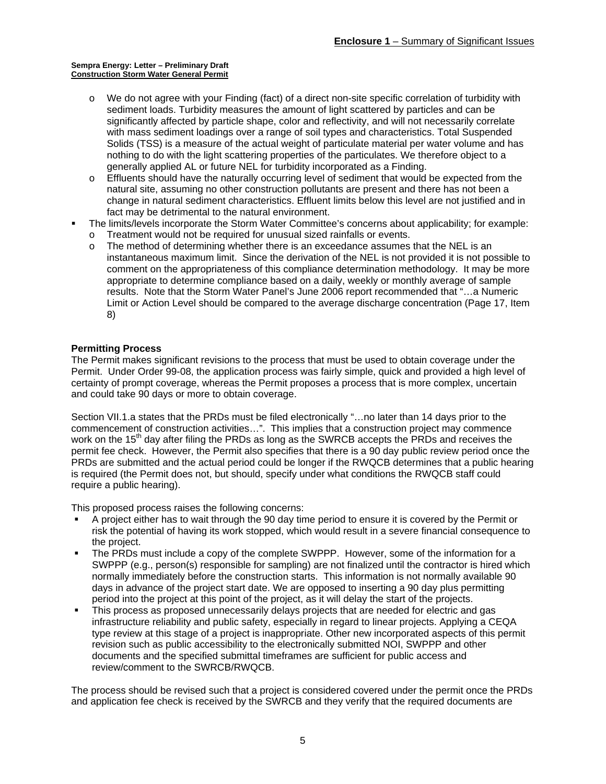- o We do not agree with your Finding (fact) of a direct non-site specific correlation of turbidity with sediment loads. Turbidity measures the amount of light scattered by particles and can be significantly affected by particle shape, color and reflectivity, and will not necessarily correlate with mass sediment loadings over a range of soil types and characteristics. Total Suspended Solids (TSS) is a measure of the actual weight of particulate material per water volume and has nothing to do with the light scattering properties of the particulates. We therefore object to a generally applied AL or future NEL for turbidity incorporated as a Finding.
- o Effluents should have the naturally occurring level of sediment that would be expected from the natural site, assuming no other construction pollutants are present and there has not been a change in natural sediment characteristics. Effluent limits below this level are not justified and in fact may be detrimental to the natural environment.
- The limits/levels incorporate the Storm Water Committee's concerns about applicability; for example:
	- o Treatment would not be required for unusual sized rainfalls or events.
	- o The method of determining whether there is an exceedance assumes that the NEL is an instantaneous maximum limit. Since the derivation of the NEL is not provided it is not possible to comment on the appropriateness of this compliance determination methodology. It may be more appropriate to determine compliance based on a daily, weekly or monthly average of sample results. Note that the Storm Water Panel's June 2006 report recommended that "…a Numeric Limit or Action Level should be compared to the average discharge concentration (Page 17, Item 8)

### **Permitting Process**

The Permit makes significant revisions to the process that must be used to obtain coverage under the Permit. Under Order 99-08, the application process was fairly simple, quick and provided a high level of certainty of prompt coverage, whereas the Permit proposes a process that is more complex, uncertain and could take 90 days or more to obtain coverage.

Section VII.1.a states that the PRDs must be filed electronically "…no later than 14 days prior to the commencement of construction activities…". This implies that a construction project may commence work on the 15<sup>th</sup> day after filing the PRDs as long as the SWRCB accepts the PRDs and receives the permit fee check. However, the Permit also specifies that there is a 90 day public review period once the PRDs are submitted and the actual period could be longer if the RWQCB determines that a public hearing is required (the Permit does not, but should, specify under what conditions the RWQCB staff could require a public hearing).

This proposed process raises the following concerns:

- A project either has to wait through the 90 day time period to ensure it is covered by the Permit or risk the potential of having its work stopped, which would result in a severe financial consequence to the project.
- The PRDs must include a copy of the complete SWPPP. However, some of the information for a SWPPP (e.g., person(s) responsible for sampling) are not finalized until the contractor is hired which normally immediately before the construction starts. This information is not normally available 90 days in advance of the project start date. We are opposed to inserting a 90 day plus permitting period into the project at this point of the project, as it will delay the start of the projects.
- This process as proposed unnecessarily delays projects that are needed for electric and gas infrastructure reliability and public safety, especially in regard to linear projects. Applying a CEQA type review at this stage of a project is inappropriate. Other new incorporated aspects of this permit revision such as public accessibility to the electronically submitted NOI, SWPPP and other documents and the specified submittal timeframes are sufficient for public access and review/comment to the SWRCB/RWQCB.

The process should be revised such that a project is considered covered under the permit once the PRDs and application fee check is received by the SWRCB and they verify that the required documents are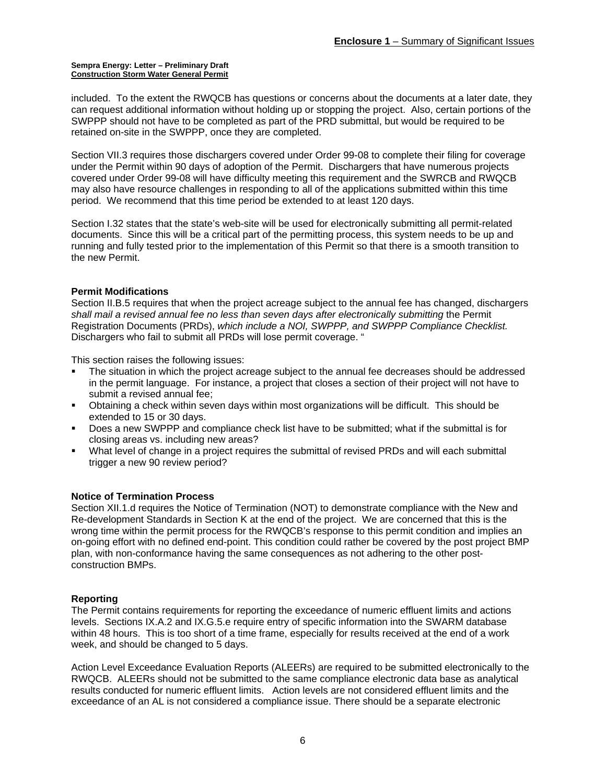included. To the extent the RWQCB has questions or concerns about the documents at a later date, they can request additional information without holding up or stopping the project. Also, certain portions of the SWPPP should not have to be completed as part of the PRD submittal, but would be required to be retained on-site in the SWPPP, once they are completed.

Section VII.3 requires those dischargers covered under Order 99-08 to complete their filing for coverage under the Permit within 90 days of adoption of the Permit. Dischargers that have numerous projects covered under Order 99-08 will have difficulty meeting this requirement and the SWRCB and RWQCB may also have resource challenges in responding to all of the applications submitted within this time period. We recommend that this time period be extended to at least 120 days.

Section I.32 states that the state's web-site will be used for electronically submitting all permit-related documents. Since this will be a critical part of the permitting process, this system needs to be up and running and fully tested prior to the implementation of this Permit so that there is a smooth transition to the new Permit.

### **Permit Modifications**

Section II.B.5 requires that when the project acreage subject to the annual fee has changed, dischargers *shall mail a revised annual fee no less than seven days after electronically submitting* the Permit Registration Documents (PRDs), *which include a NOI, SWPPP, and SWPPP Compliance Checklist.* Dischargers who fail to submit all PRDs will lose permit coverage. "

This section raises the following issues:

- The situation in which the project acreage subject to the annual fee decreases should be addressed in the permit language. For instance, a project that closes a section of their project will not have to submit a revised annual fee;
- Obtaining a check within seven days within most organizations will be difficult. This should be extended to 15 or 30 days.
- Does a new SWPPP and compliance check list have to be submitted; what if the submittal is for closing areas vs. including new areas?
- What level of change in a project requires the submittal of revised PRDs and will each submittal trigger a new 90 review period?

### **Notice of Termination Process**

Section XII.1.d requires the Notice of Termination (NOT) to demonstrate compliance with the New and Re-development Standards in Section K at the end of the project. We are concerned that this is the wrong time within the permit process for the RWQCB's response to this permit condition and implies an on-going effort with no defined end-point. This condition could rather be covered by the post project BMP plan, with non-conformance having the same consequences as not adhering to the other postconstruction BMPs.

### **Reporting**

The Permit contains requirements for reporting the exceedance of numeric effluent limits and actions levels. Sections IX.A.2 and IX.G.5.e require entry of specific information into the SWARM database within 48 hours. This is too short of a time frame, especially for results received at the end of a work week, and should be changed to 5 days.

Action Level Exceedance Evaluation Reports (ALEERs) are required to be submitted electronically to the RWQCB. ALEERs should not be submitted to the same compliance electronic data base as analytical results conducted for numeric effluent limits. Action levels are not considered effluent limits and the exceedance of an AL is not considered a compliance issue. There should be a separate electronic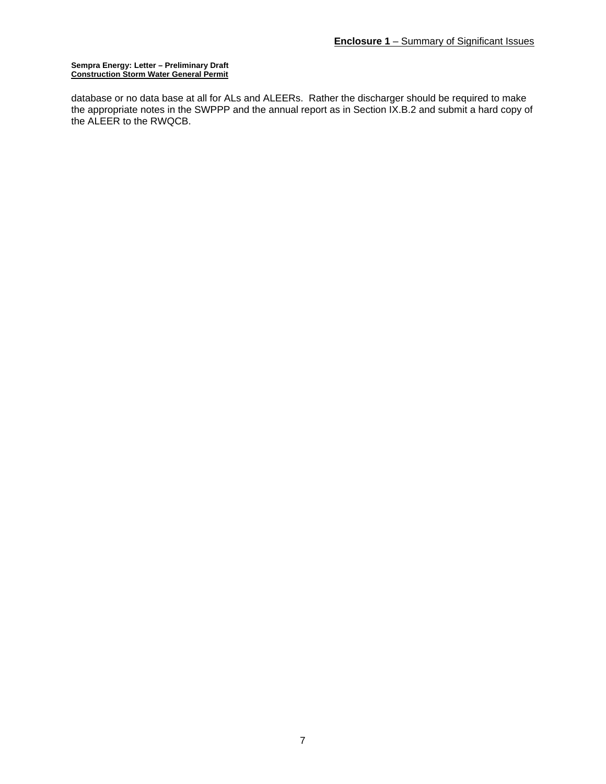database or no data base at all for ALs and ALEERs. Rather the discharger should be required to make the appropriate notes in the SWPPP and the annual report as in Section IX.B.2 and submit a hard copy of the ALEER to the RWQCB.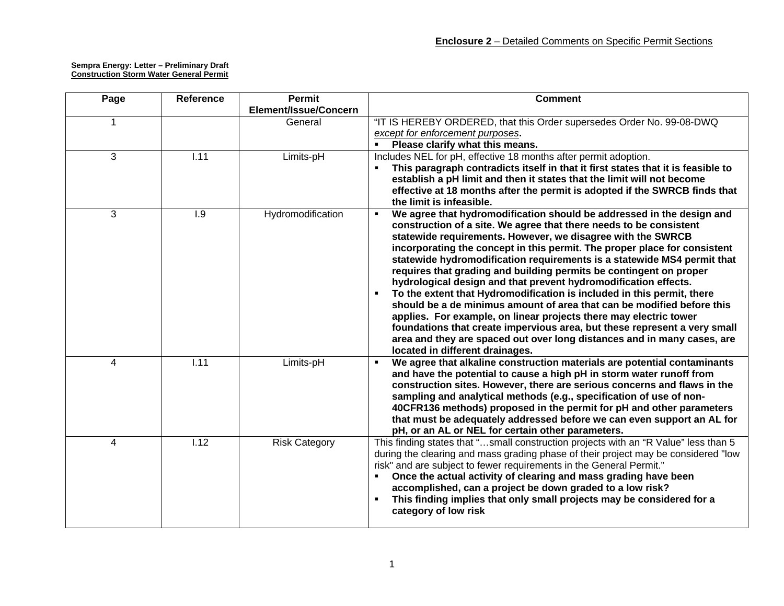| Page                    | Reference | <b>Permit</b>         | <b>Comment</b>                                                                                                                                                                                                                                                                                                                                                                                                                                                                                                                                                                                                                                                                                                                                                                                                                                                                                                                       |
|-------------------------|-----------|-----------------------|--------------------------------------------------------------------------------------------------------------------------------------------------------------------------------------------------------------------------------------------------------------------------------------------------------------------------------------------------------------------------------------------------------------------------------------------------------------------------------------------------------------------------------------------------------------------------------------------------------------------------------------------------------------------------------------------------------------------------------------------------------------------------------------------------------------------------------------------------------------------------------------------------------------------------------------|
|                         |           | Element/Issue/Concern |                                                                                                                                                                                                                                                                                                                                                                                                                                                                                                                                                                                                                                                                                                                                                                                                                                                                                                                                      |
| 1                       |           | General               | "IT IS HEREBY ORDERED, that this Order supersedes Order No. 99-08-DWQ<br>except for enforcement purposes.<br>Please clarify what this means.                                                                                                                                                                                                                                                                                                                                                                                                                                                                                                                                                                                                                                                                                                                                                                                         |
| 3                       | 1.11      | Limits-pH             | Includes NEL for pH, effective 18 months after permit adoption.<br>This paragraph contradicts itself in that it first states that it is feasible to<br>establish a pH limit and then it states that the limit will not become<br>effective at 18 months after the permit is adopted if the SWRCB finds that<br>the limit is infeasible.                                                                                                                                                                                                                                                                                                                                                                                                                                                                                                                                                                                              |
| $\overline{3}$          | 1.9       | Hydromodification     | We agree that hydromodification should be addressed in the design and<br>٠<br>construction of a site. We agree that there needs to be consistent<br>statewide requirements. However, we disagree with the SWRCB<br>incorporating the concept in this permit. The proper place for consistent<br>statewide hydromodification requirements is a statewide MS4 permit that<br>requires that grading and building permits be contingent on proper<br>hydrological design and that prevent hydromodification effects.<br>To the extent that Hydromodification is included in this permit, there<br>should be a de minimus amount of area that can be modified before this<br>applies. For example, on linear projects there may electric tower<br>foundations that create impervious area, but these represent a very small<br>area and they are spaced out over long distances and in many cases, are<br>located in different drainages. |
| $\overline{\mathbf{A}}$ | 1.11      | Limits-pH             | We agree that alkaline construction materials are potential contaminants<br>$\blacksquare$<br>and have the potential to cause a high pH in storm water runoff from<br>construction sites. However, there are serious concerns and flaws in the<br>sampling and analytical methods (e.g., specification of use of non-<br>40CFR136 methods) proposed in the permit for pH and other parameters<br>that must be adequately addressed before we can even support an AL for<br>pH, or an AL or NEL for certain other parameters.                                                                                                                                                                                                                                                                                                                                                                                                         |
| $\overline{\mathbf{4}}$ | 1.12      | <b>Risk Category</b>  | This finding states that "small construction projects with an "R Value" less than 5<br>during the clearing and mass grading phase of their project may be considered "low<br>risk" and are subject to fewer requirements in the General Permit."<br>Once the actual activity of clearing and mass grading have been<br>٠<br>accomplished, can a project be down graded to a low risk?<br>This finding implies that only small projects may be considered for a<br>category of low risk                                                                                                                                                                                                                                                                                                                                                                                                                                               |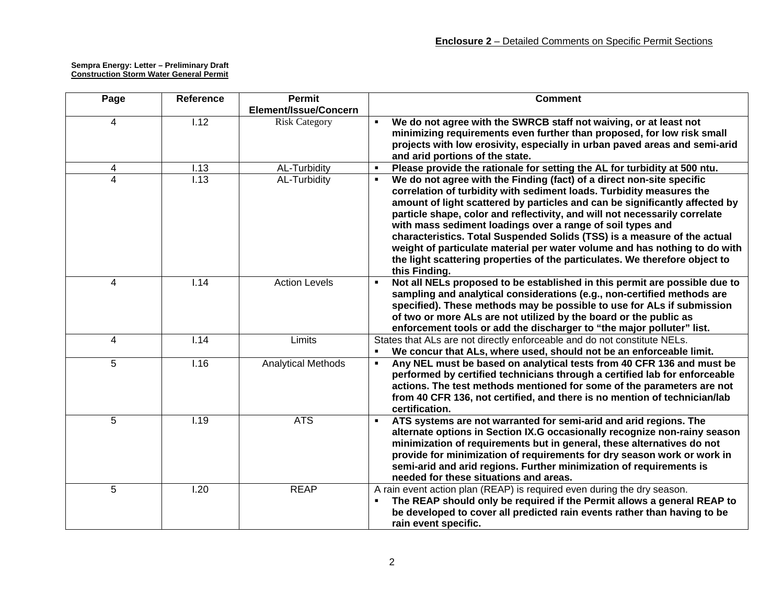| Page           | <b>Reference</b>  | Permit                    | <b>Comment</b>                                                                                                                                                                                                                                                                                                                                                                                                                                                                                                                                                                                                                     |
|----------------|-------------------|---------------------------|------------------------------------------------------------------------------------------------------------------------------------------------------------------------------------------------------------------------------------------------------------------------------------------------------------------------------------------------------------------------------------------------------------------------------------------------------------------------------------------------------------------------------------------------------------------------------------------------------------------------------------|
|                |                   | Element/Issue/Concern     |                                                                                                                                                                                                                                                                                                                                                                                                                                                                                                                                                                                                                                    |
| $\overline{4}$ | $\overline{1.12}$ | <b>Risk Category</b>      | We do not agree with the SWRCB staff not waiving, or at least not<br>minimizing requirements even further than proposed, for low risk small<br>projects with low erosivity, especially in urban paved areas and semi-arid<br>and arid portions of the state.                                                                                                                                                                                                                                                                                                                                                                       |
| 4              | 1.13              | AL-Turbidity              | Please provide the rationale for setting the AL for turbidity at 500 ntu.<br>$\blacksquare$                                                                                                                                                                                                                                                                                                                                                                                                                                                                                                                                        |
| 4              | $\overline{1.13}$ | AL-Turbidity              | We do not agree with the Finding (fact) of a direct non-site specific<br>correlation of turbidity with sediment loads. Turbidity measures the<br>amount of light scattered by particles and can be significantly affected by<br>particle shape, color and reflectivity, and will not necessarily correlate<br>with mass sediment loadings over a range of soil types and<br>characteristics. Total Suspended Solids (TSS) is a measure of the actual<br>weight of particulate material per water volume and has nothing to do with<br>the light scattering properties of the particulates. We therefore object to<br>this Finding. |
| $\overline{4}$ | $\overline{1.14}$ | <b>Action Levels</b>      | Not all NELs proposed to be established in this permit are possible due to<br>$\blacksquare$<br>sampling and analytical considerations (e.g., non-certified methods are<br>specified). These methods may be possible to use for ALs if submission<br>of two or more ALs are not utilized by the board or the public as<br>enforcement tools or add the discharger to "the major polluter" list.                                                                                                                                                                                                                                    |
| $\overline{4}$ | 1.14              | Limits                    | States that ALs are not directly enforceable and do not constitute NELs.<br>We concur that ALs, where used, should not be an enforceable limit.<br>$\blacksquare$                                                                                                                                                                                                                                                                                                                                                                                                                                                                  |
| 5              | 1.16              | <b>Analytical Methods</b> | Any NEL must be based on analytical tests from 40 CFR 136 and must be<br>٠<br>performed by certified technicians through a certified lab for enforceable<br>actions. The test methods mentioned for some of the parameters are not<br>from 40 CFR 136, not certified, and there is no mention of technician/lab<br>certification.                                                                                                                                                                                                                                                                                                  |
| 5              | 1.19              | <b>ATS</b>                | ATS systems are not warranted for semi-arid and arid regions. The<br>٠.<br>alternate options in Section IX.G occasionally recognize non-rainy season<br>minimization of requirements but in general, these alternatives do not<br>provide for minimization of requirements for dry season work or work in<br>semi-arid and arid regions. Further minimization of requirements is<br>needed for these situations and areas.                                                                                                                                                                                                         |
| 5              | 1.20              | <b>REAP</b>               | A rain event action plan (REAP) is required even during the dry season.<br>The REAP should only be required if the Permit allows a general REAP to<br>be developed to cover all predicted rain events rather than having to be<br>rain event specific.                                                                                                                                                                                                                                                                                                                                                                             |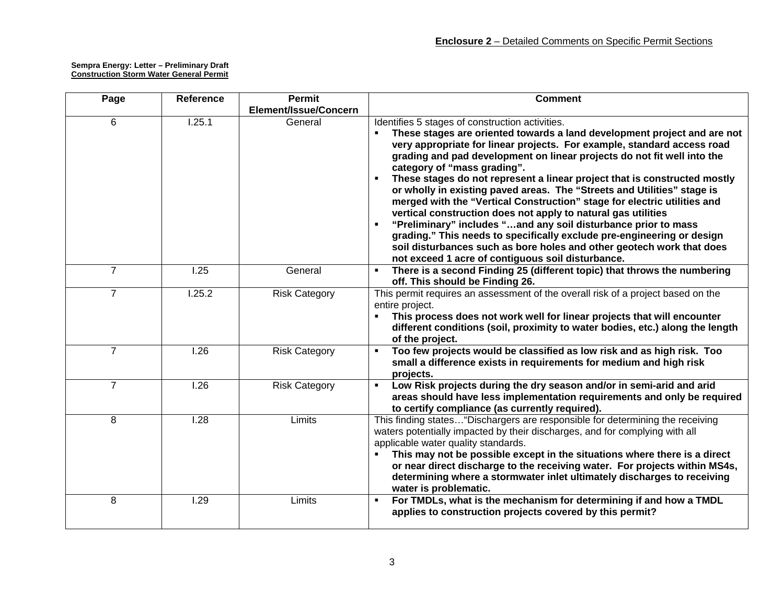| Page           | <b>Reference</b>  | <b>Permit</b><br>Element/Issue/Concern | <b>Comment</b>                                                                                                                                                                                                                                                                                                                                                                                                                                                                                                                                                                                                                                                                                                                                                                                                                                                                                  |
|----------------|-------------------|----------------------------------------|-------------------------------------------------------------------------------------------------------------------------------------------------------------------------------------------------------------------------------------------------------------------------------------------------------------------------------------------------------------------------------------------------------------------------------------------------------------------------------------------------------------------------------------------------------------------------------------------------------------------------------------------------------------------------------------------------------------------------------------------------------------------------------------------------------------------------------------------------------------------------------------------------|
| 6              | 1.25.1            | General                                | Identifies 5 stages of construction activities.<br>These stages are oriented towards a land development project and are not<br>very appropriate for linear projects. For example, standard access road<br>grading and pad development on linear projects do not fit well into the<br>category of "mass grading".<br>These stages do not represent a linear project that is constructed mostly<br>or wholly in existing paved areas. The "Streets and Utilities" stage is<br>merged with the "Vertical Construction" stage for electric utilities and<br>vertical construction does not apply to natural gas utilities<br>"Preliminary" includes "and any soil disturbance prior to mass<br>grading." This needs to specifically exclude pre-engineering or design<br>soil disturbances such as bore holes and other geotech work that does<br>not exceed 1 acre of contiguous soil disturbance. |
| $\overline{7}$ | 1.25              | General                                | There is a second Finding 25 (different topic) that throws the numbering<br>off. This should be Finding 26.                                                                                                                                                                                                                                                                                                                                                                                                                                                                                                                                                                                                                                                                                                                                                                                     |
| $\overline{7}$ | 1.25.2            | <b>Risk Category</b>                   | This permit requires an assessment of the overall risk of a project based on the<br>entire project.<br>This process does not work well for linear projects that will encounter<br>different conditions (soil, proximity to water bodies, etc.) along the length<br>of the project.                                                                                                                                                                                                                                                                                                                                                                                                                                                                                                                                                                                                              |
| $\overline{7}$ | 1.26              | <b>Risk Category</b>                   | Too few projects would be classified as low risk and as high risk. Too<br>small a difference exists in requirements for medium and high risk<br>projects.                                                                                                                                                                                                                                                                                                                                                                                                                                                                                                                                                                                                                                                                                                                                       |
| $\overline{7}$ | $\overline{1.26}$ | <b>Risk Category</b>                   | Low Risk projects during the dry season and/or in semi-arid and arid<br>$\blacksquare$<br>areas should have less implementation requirements and only be required<br>to certify compliance (as currently required).                                                                                                                                                                                                                                                                                                                                                                                                                                                                                                                                                                                                                                                                             |
| 8              | 1.28              | Limits                                 | This finding states "Dischargers are responsible for determining the receiving<br>waters potentially impacted by their discharges, and for complying with all<br>applicable water quality standards.<br>This may not be possible except in the situations where there is a direct<br>٠<br>or near direct discharge to the receiving water. For projects within MS4s,<br>determining where a stormwater inlet ultimately discharges to receiving<br>water is problematic.                                                                                                                                                                                                                                                                                                                                                                                                                        |
| 8              | 1.29              | Limits                                 | For TMDLs, what is the mechanism for determining if and how a TMDL<br>applies to construction projects covered by this permit?                                                                                                                                                                                                                                                                                                                                                                                                                                                                                                                                                                                                                                                                                                                                                                  |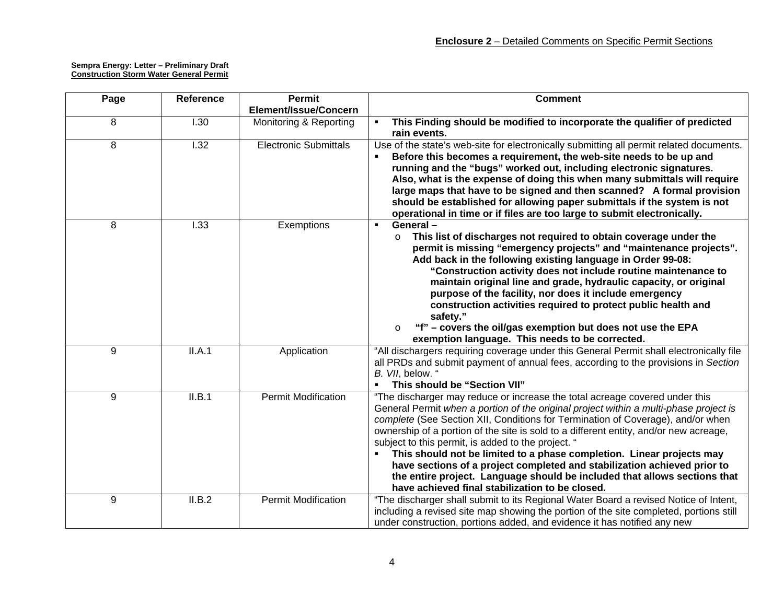| Page | <b>Reference</b> | <b>Permit</b>                | <b>Comment</b>                                                                                                                                                                                                                                                                                                                                                                                                                                                                                                                                                                                                                                                                              |
|------|------------------|------------------------------|---------------------------------------------------------------------------------------------------------------------------------------------------------------------------------------------------------------------------------------------------------------------------------------------------------------------------------------------------------------------------------------------------------------------------------------------------------------------------------------------------------------------------------------------------------------------------------------------------------------------------------------------------------------------------------------------|
|      |                  | Element/Issue/Concern        |                                                                                                                                                                                                                                                                                                                                                                                                                                                                                                                                                                                                                                                                                             |
| 8    | 1.30             | Monitoring & Reporting       | This Finding should be modified to incorporate the qualifier of predicted<br>rain events.                                                                                                                                                                                                                                                                                                                                                                                                                                                                                                                                                                                                   |
| 8    | 1.32             | <b>Electronic Submittals</b> | Use of the state's web-site for electronically submitting all permit related documents.<br>Before this becomes a requirement, the web-site needs to be up and<br>running and the "bugs" worked out, including electronic signatures.<br>Also, what is the expense of doing this when many submittals will require<br>large maps that have to be signed and then scanned? A formal provision<br>should be established for allowing paper submittals if the system is not<br>operational in time or if files are too large to submit electronically.                                                                                                                                          |
| 8    | 1.33             | Exemptions                   | General-<br>$\blacksquare$<br>This list of discharges not required to obtain coverage under the<br>$\circ$<br>permit is missing "emergency projects" and "maintenance projects".<br>Add back in the following existing language in Order 99-08:<br>"Construction activity does not include routine maintenance to<br>maintain original line and grade, hydraulic capacity, or original<br>purpose of the facility, nor does it include emergency<br>construction activities required to protect public health and<br>safety."<br>"f" - covers the oil/gas exemption but does not use the EPA<br>$\circ$<br>exemption language. This needs to be corrected.                                  |
| 9    | II.A.1           | Application                  | "All dischargers requiring coverage under this General Permit shall electronically file<br>all PRDs and submit payment of annual fees, according to the provisions in Section<br>B. VII, below. "<br>This should be "Section VII"                                                                                                                                                                                                                                                                                                                                                                                                                                                           |
| 9    | II.B.1           | <b>Permit Modification</b>   | "The discharger may reduce or increase the total acreage covered under this<br>General Permit when a portion of the original project within a multi-phase project is<br>complete (See Section XII, Conditions for Termination of Coverage), and/or when<br>ownership of a portion of the site is sold to a different entity, and/or new acreage,<br>subject to this permit, is added to the project. "<br>This should not be limited to a phase completion. Linear projects may<br>have sections of a project completed and stabilization achieved prior to<br>the entire project. Language should be included that allows sections that<br>have achieved final stabilization to be closed. |
| 9    | II.B.2           | <b>Permit Modification</b>   | "The discharger shall submit to its Regional Water Board a revised Notice of Intent,<br>including a revised site map showing the portion of the site completed, portions still<br>under construction, portions added, and evidence it has notified any new                                                                                                                                                                                                                                                                                                                                                                                                                                  |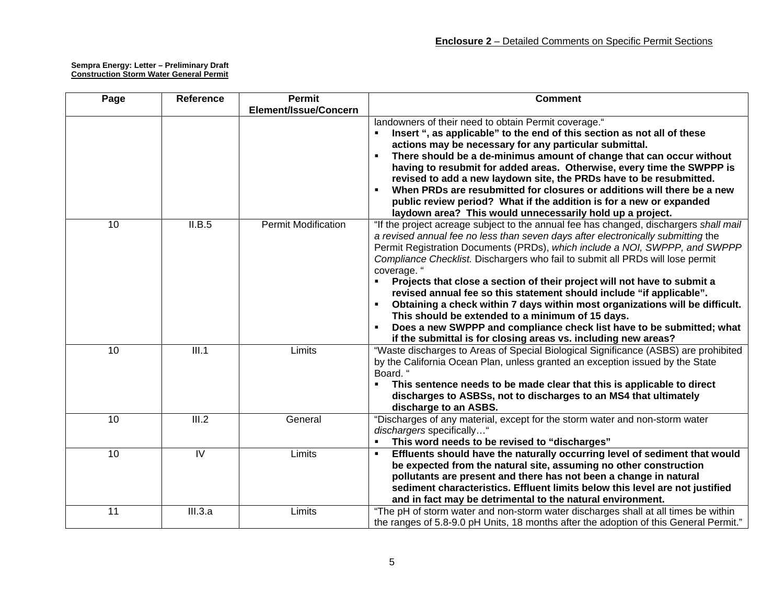| Page            | Reference          | <b>Permit</b>              | <b>Comment</b>                                                                                                                                        |
|-----------------|--------------------|----------------------------|-------------------------------------------------------------------------------------------------------------------------------------------------------|
|                 |                    | Element/Issue/Concern      |                                                                                                                                                       |
|                 |                    |                            | landowners of their need to obtain Permit coverage."                                                                                                  |
|                 |                    |                            | Insert ", as applicable" to the end of this section as not all of these                                                                               |
|                 |                    |                            | actions may be necessary for any particular submittal.                                                                                                |
|                 |                    |                            | There should be a de-minimus amount of change that can occur without                                                                                  |
|                 |                    |                            | having to resubmit for added areas. Otherwise, every time the SWPPP is                                                                                |
|                 |                    |                            | revised to add a new laydown site, the PRDs have to be resubmitted.                                                                                   |
|                 |                    |                            | When PRDs are resubmitted for closures or additions will there be a new                                                                               |
|                 |                    |                            | public review period? What if the addition is for a new or expanded                                                                                   |
|                 |                    |                            | laydown area? This would unnecessarily hold up a project.                                                                                             |
| $\overline{10}$ | II.B.5             | <b>Permit Modification</b> | "If the project acreage subject to the annual fee has changed, dischargers shall mail                                                                 |
|                 |                    |                            | a revised annual fee no less than seven days after electronically submitting the                                                                      |
|                 |                    |                            | Permit Registration Documents (PRDs), which include a NOI, SWPPP, and SWPPP                                                                           |
|                 |                    |                            | Compliance Checklist. Dischargers who fail to submit all PRDs will lose permit                                                                        |
|                 |                    |                            | coverage. "                                                                                                                                           |
|                 |                    |                            | Projects that close a section of their project will not have to submit a                                                                              |
|                 |                    |                            | revised annual fee so this statement should include "if applicable".                                                                                  |
|                 |                    |                            | Obtaining a check within 7 days within most organizations will be difficult.                                                                          |
|                 |                    |                            | This should be extended to a minimum of 15 days.                                                                                                      |
|                 |                    |                            | Does a new SWPPP and compliance check list have to be submitted; what                                                                                 |
| 10              | III.1              | Limits                     | if the submittal is for closing areas vs. including new areas?<br>"Waste discharges to Areas of Special Biological Significance (ASBS) are prohibited |
|                 |                    |                            | by the California Ocean Plan, unless granted an exception issued by the State                                                                         |
|                 |                    |                            | Board. "                                                                                                                                              |
|                 |                    |                            | This sentence needs to be made clear that this is applicable to direct                                                                                |
|                 |                    |                            | discharges to ASBSs, not to discharges to an MS4 that ultimately                                                                                      |
|                 |                    |                            | discharge to an ASBS.                                                                                                                                 |
| 10              | $\overline{III.2}$ | General                    | "Discharges of any material, except for the storm water and non-storm water                                                                           |
|                 |                    |                            | dischargers specifically"                                                                                                                             |
|                 |                    |                            | This word needs to be revised to "discharges"                                                                                                         |
| $\overline{10}$ | $\overline{N}$     | Limits                     | Effluents should have the naturally occurring level of sediment that would                                                                            |
|                 |                    |                            | be expected from the natural site, assuming no other construction                                                                                     |
|                 |                    |                            | pollutants are present and there has not been a change in natural                                                                                     |
|                 |                    |                            | sediment characteristics. Effluent limits below this level are not justified                                                                          |
|                 |                    |                            | and in fact may be detrimental to the natural environment.                                                                                            |
| 11              | III.3.a            | Limits                     | "The pH of storm water and non-storm water discharges shall at all times be within                                                                    |
|                 |                    |                            | the ranges of 5.8-9.0 pH Units, 18 months after the adoption of this General Permit."                                                                 |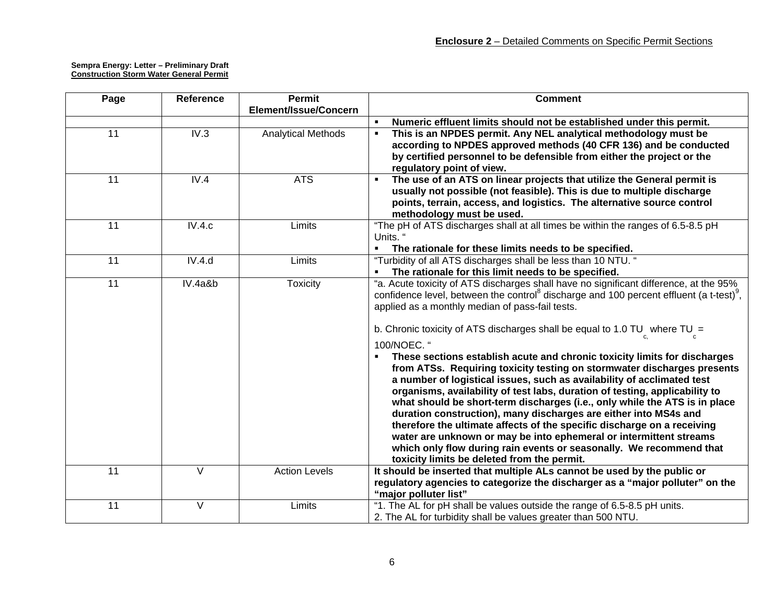| Page            | Reference | <b>Permit</b>             | <b>Comment</b>                                                                                                  |
|-----------------|-----------|---------------------------|-----------------------------------------------------------------------------------------------------------------|
|                 |           | Element/Issue/Concern     |                                                                                                                 |
|                 |           |                           | Numeric effluent limits should not be established under this permit.                                            |
| $\overline{11}$ | IV.3      | <b>Analytical Methods</b> | This is an NPDES permit. Any NEL analytical methodology must be<br>$\blacksquare$                               |
|                 |           |                           | according to NPDES approved methods (40 CFR 136) and be conducted                                               |
|                 |           |                           | by certified personnel to be defensible from either the project or the                                          |
|                 |           |                           | regulatory point of view.                                                                                       |
| 11              | IV.4      | <b>ATS</b>                | The use of an ATS on linear projects that utilize the General permit is<br>$\blacksquare$                       |
|                 |           |                           | usually not possible (not feasible). This is due to multiple discharge                                          |
|                 |           |                           | points, terrain, access, and logistics. The alternative source control                                          |
|                 |           |                           | methodology must be used.                                                                                       |
| 11              | IV.4.c    | Limits                    | "The pH of ATS discharges shall at all times be within the ranges of 6.5-8.5 pH                                 |
|                 |           |                           | Units."                                                                                                         |
|                 |           |                           | The rationale for these limits needs to be specified.                                                           |
| 11              | IV.4.d    | Limits                    | "Turbidity of all ATS discharges shall be less than 10 NTU. "                                                   |
|                 |           |                           | The rationale for this limit needs to be specified.                                                             |
| 11              | IV.4a&b   | <b>Toxicity</b>           | "a. Acute toxicity of ATS discharges shall have no significant difference, at the 95%                           |
|                 |           |                           | confidence level, between the control <sup>8</sup> discharge and 100 percent effluent (a t-test) <sup>9</sup> , |
|                 |           |                           | applied as a monthly median of pass-fail tests.                                                                 |
|                 |           |                           | b. Chronic toxicity of ATS discharges shall be equal to 1.0 TU where TU =                                       |
|                 |           |                           | 100/NOEC. "                                                                                                     |
|                 |           |                           | These sections establish acute and chronic toxicity limits for discharges                                       |
|                 |           |                           | from ATSs. Requiring toxicity testing on stormwater discharges presents                                         |
|                 |           |                           | a number of logistical issues, such as availability of acclimated test                                          |
|                 |           |                           | organisms, availability of test labs, duration of testing, applicability to                                     |
|                 |           |                           | what should be short-term discharges (i.e., only while the ATS is in place                                      |
|                 |           |                           | duration construction), many discharges are either into MS4s and                                                |
|                 |           |                           | therefore the ultimate affects of the specific discharge on a receiving                                         |
|                 |           |                           | water are unknown or may be into ephemeral or intermittent streams                                              |
|                 |           |                           | which only flow during rain events or seasonally. We recommend that                                             |
|                 |           |                           | toxicity limits be deleted from the permit.                                                                     |
| $\overline{11}$ | V         | <b>Action Levels</b>      | It should be inserted that multiple ALs cannot be used by the public or                                         |
|                 |           |                           | regulatory agencies to categorize the discharger as a "major polluter" on the                                   |
|                 |           |                           | "major polluter list"                                                                                           |
| $\overline{11}$ | V         | Limits                    | "1. The AL for pH shall be values outside the range of 6.5-8.5 pH units.                                        |
|                 |           |                           | 2. The AL for turbidity shall be values greater than 500 NTU.                                                   |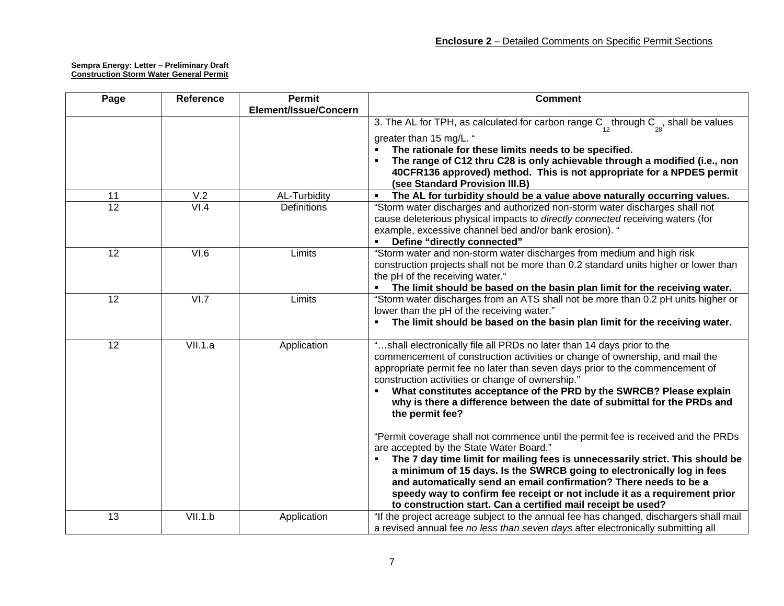| Page            | <b>Reference</b>  | <b>Permit</b>         | <b>Comment</b>                                                                                                                                                                                                                                                                                                                                                                                                                                                                                             |
|-----------------|-------------------|-----------------------|------------------------------------------------------------------------------------------------------------------------------------------------------------------------------------------------------------------------------------------------------------------------------------------------------------------------------------------------------------------------------------------------------------------------------------------------------------------------------------------------------------|
|                 |                   | Element/Issue/Concern |                                                                                                                                                                                                                                                                                                                                                                                                                                                                                                            |
|                 |                   |                       | 3. The AL for TPH, as calculated for carbon range $C_{12}^{\text{th}}$ through $C_{28}^{\text{th}}$ , shall be values                                                                                                                                                                                                                                                                                                                                                                                      |
|                 |                   |                       | greater than 15 mg/L. "<br>The rationale for these limits needs to be specified.<br>The range of C12 thru C28 is only achievable through a modified (i.e., non<br>40CFR136 approved) method. This is not appropriate for a NPDES permit<br>(see Standard Provision III.B)                                                                                                                                                                                                                                  |
| 11              | V.2               | AL-Turbidity          | The AL for turbidity should be a value above naturally occurring values.                                                                                                                                                                                                                                                                                                                                                                                                                                   |
| 12              | VI.4              | <b>Definitions</b>    | "Storm water discharges and authorized non-storm water discharges shall not<br>cause deleterious physical impacts to directly connected receiving waters (for<br>example, excessive channel bed and/or bank erosion). "<br>Define "directly connected"                                                                                                                                                                                                                                                     |
| 12              | $\overline{VI.6}$ | Limits                | "Storm water and non-storm water discharges from medium and high risk<br>construction projects shall not be more than 0.2 standard units higher or lower than<br>the pH of the receiving water."<br>• The limit should be based on the basin plan limit for the receiving water.                                                                                                                                                                                                                           |
| 12              | VI.7              | Limits                | "Storm water discharges from an ATS shall not be more than 0.2 pH units higher or<br>lower than the pH of the receiving water."<br>The limit should be based on the basin plan limit for the receiving water.                                                                                                                                                                                                                                                                                              |
| $\overline{12}$ | VII.1.a           | Application           | "shall electronically file all PRDs no later than 14 days prior to the<br>commencement of construction activities or change of ownership, and mail the<br>appropriate permit fee no later than seven days prior to the commencement of<br>construction activities or change of ownership."<br>What constitutes acceptance of the PRD by the SWRCB? Please explain<br>why is there a difference between the date of submittal for the PRDs and<br>the permit fee?                                           |
|                 |                   |                       | "Permit coverage shall not commence until the permit fee is received and the PRDs<br>are accepted by the State Water Board."<br>The 7 day time limit for mailing fees is unnecessarily strict. This should be<br>a minimum of 15 days. Is the SWRCB going to electronically log in fees<br>and automatically send an email confirmation? There needs to be a<br>speedy way to confirm fee receipt or not include it as a requirement prior<br>to construction start. Can a certified mail receipt be used? |
| 13              | VII.1.b           | Application           | "If the project acreage subject to the annual fee has changed, dischargers shall mail<br>a revised annual fee no less than seven days after electronically submitting all                                                                                                                                                                                                                                                                                                                                  |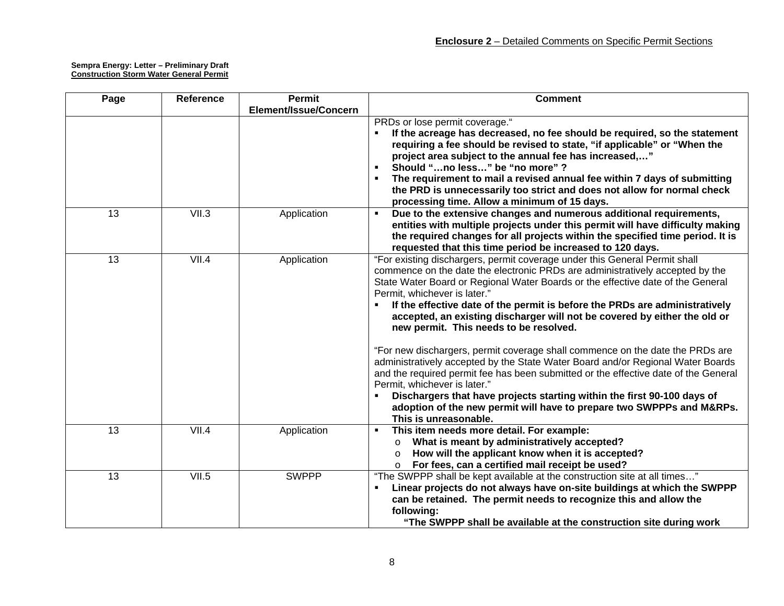| Page            | <b>Reference</b> | <b>Permit</b>         | <b>Comment</b>                                                                                                                                                                                                                                                                                                                                                                                                                                                                                                                                                                                                                                                                                                                                                                                                                                                                                                                                               |
|-----------------|------------------|-----------------------|--------------------------------------------------------------------------------------------------------------------------------------------------------------------------------------------------------------------------------------------------------------------------------------------------------------------------------------------------------------------------------------------------------------------------------------------------------------------------------------------------------------------------------------------------------------------------------------------------------------------------------------------------------------------------------------------------------------------------------------------------------------------------------------------------------------------------------------------------------------------------------------------------------------------------------------------------------------|
|                 |                  | Element/Issue/Concern |                                                                                                                                                                                                                                                                                                                                                                                                                                                                                                                                                                                                                                                                                                                                                                                                                                                                                                                                                              |
|                 |                  |                       | PRDs or lose permit coverage."<br>If the acreage has decreased, no fee should be required, so the statement<br>requiring a fee should be revised to state, "if applicable" or "When the<br>project area subject to the annual fee has increased,"<br>Should "no less" be "no more" ?<br>The requirement to mail a revised annual fee within 7 days of submitting<br>the PRD is unnecessarily too strict and does not allow for normal check<br>processing time. Allow a minimum of 15 days.                                                                                                                                                                                                                                                                                                                                                                                                                                                                  |
| $\overline{13}$ | VII.3            | Application           | Due to the extensive changes and numerous additional requirements,<br>entities with multiple projects under this permit will have difficulty making<br>the required changes for all projects within the specified time period. It is<br>requested that this time period be increased to 120 days.                                                                                                                                                                                                                                                                                                                                                                                                                                                                                                                                                                                                                                                            |
| $\overline{13}$ | VII.4            | Application           | "For existing dischargers, permit coverage under this General Permit shall<br>commence on the date the electronic PRDs are administratively accepted by the<br>State Water Board or Regional Water Boards or the effective date of the General<br>Permit, whichever is later."<br>If the effective date of the permit is before the PRDs are administratively<br>accepted, an existing discharger will not be covered by either the old or<br>new permit. This needs to be resolved.<br>"For new dischargers, permit coverage shall commence on the date the PRDs are<br>administratively accepted by the State Water Board and/or Regional Water Boards<br>and the required permit fee has been submitted or the effective date of the General<br>Permit, whichever is later."<br>Dischargers that have projects starting within the first 90-100 days of<br>adoption of the new permit will have to prepare two SWPPPs and M&RPs.<br>This is unreasonable. |
| 13              | VII.4            | Application           | This item needs more detail. For example:<br>٠<br>What is meant by administratively accepted?<br>$\circ$<br>How will the applicant know when it is accepted?<br>$\circ$<br>For fees, can a certified mail receipt be used?<br>$\circ$                                                                                                                                                                                                                                                                                                                                                                                                                                                                                                                                                                                                                                                                                                                        |
| 13              | VII.5            | <b>SWPPP</b>          | "The SWPPP shall be kept available at the construction site at all times"<br>Linear projects do not always have on-site buildings at which the SWPPP<br>can be retained. The permit needs to recognize this and allow the<br>following:<br>"The SWPPP shall be available at the construction site during work                                                                                                                                                                                                                                                                                                                                                                                                                                                                                                                                                                                                                                                |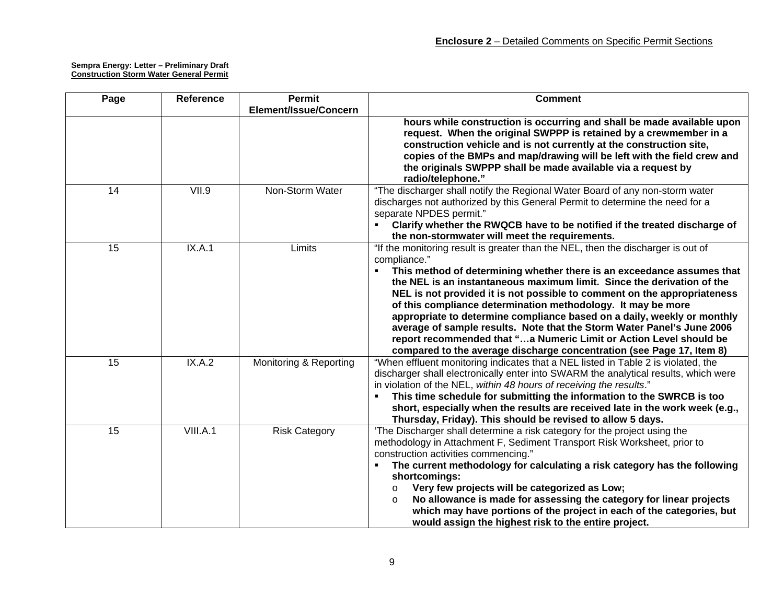| Page | <b>Reference</b> | <b>Permit</b>          | <b>Comment</b>                                                                                                                                     |
|------|------------------|------------------------|----------------------------------------------------------------------------------------------------------------------------------------------------|
|      |                  | Element/Issue/Concern  |                                                                                                                                                    |
|      |                  |                        | hours while construction is occurring and shall be made available upon                                                                             |
|      |                  |                        | request. When the original SWPPP is retained by a crewmember in a                                                                                  |
|      |                  |                        | construction vehicle and is not currently at the construction site,<br>copies of the BMPs and map/drawing will be left with the field crew and     |
|      |                  |                        | the originals SWPPP shall be made available via a request by                                                                                       |
|      |                  |                        | radio/telephone."                                                                                                                                  |
| 14   | VII.9            | Non-Storm Water        | "The discharger shall notify the Regional Water Board of any non-storm water                                                                       |
|      |                  |                        | discharges not authorized by this General Permit to determine the need for a<br>separate NPDES permit."                                            |
|      |                  |                        | Clarify whether the RWQCB have to be notified if the treated discharge of                                                                          |
|      |                  |                        | the non-stormwater will meet the requirements.                                                                                                     |
| 15   | IX.A.1           | Limits                 | "If the monitoring result is greater than the NEL, then the discharger is out of                                                                   |
|      |                  |                        | compliance."                                                                                                                                       |
|      |                  |                        | This method of determining whether there is an exceedance assumes that                                                                             |
|      |                  |                        | the NEL is an instantaneous maximum limit. Since the derivation of the<br>NEL is not provided it is not possible to comment on the appropriateness |
|      |                  |                        | of this compliance determination methodology. It may be more                                                                                       |
|      |                  |                        | appropriate to determine compliance based on a daily, weekly or monthly                                                                            |
|      |                  |                        | average of sample results. Note that the Storm Water Panel's June 2006                                                                             |
|      |                  |                        | report recommended that "a Numeric Limit or Action Level should be                                                                                 |
|      |                  |                        | compared to the average discharge concentration (see Page 17, Item 8)                                                                              |
| 15   | IX.A.2           | Monitoring & Reporting | "When effluent monitoring indicates that a NEL listed in Table 2 is violated, the                                                                  |
|      |                  |                        | discharger shall electronically enter into SWARM the analytical results, which were                                                                |
|      |                  |                        | in violation of the NEL, within 48 hours of receiving the results."<br>This time schedule for submitting the information to the SWRCB is too       |
|      |                  |                        | short, especially when the results are received late in the work week (e.g.,                                                                       |
|      |                  |                        | Thursday, Friday). This should be revised to allow 5 days.                                                                                         |
| 15   | VIII.A.1         | <b>Risk Category</b>   | 'The Discharger shall determine a risk category for the project using the                                                                          |
|      |                  |                        | methodology in Attachment F, Sediment Transport Risk Worksheet, prior to                                                                           |
|      |                  |                        | construction activities commencing."                                                                                                               |
|      |                  |                        | The current methodology for calculating a risk category has the following<br>shortcomings:                                                         |
|      |                  |                        | Very few projects will be categorized as Low;<br>$\circ$                                                                                           |
|      |                  |                        | No allowance is made for assessing the category for linear projects<br>$\circ$                                                                     |
|      |                  |                        | which may have portions of the project in each of the categories, but                                                                              |
|      |                  |                        | would assign the highest risk to the entire project.                                                                                               |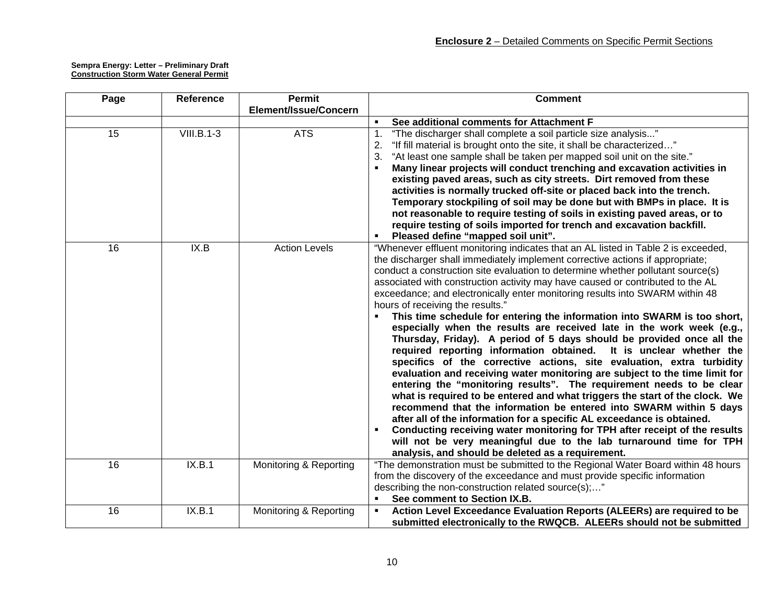| Page            | <b>Reference</b>  | <b>Permit</b>          | <b>Comment</b>                                                                                                                                                                                                                                                                                                                                                                                                                                                                                                                                                                                                                                                                                                                                                                                                                                                                                                                                                                                                                                                                                                                                                                                                                                                                                                                                                                                                                          |
|-----------------|-------------------|------------------------|-----------------------------------------------------------------------------------------------------------------------------------------------------------------------------------------------------------------------------------------------------------------------------------------------------------------------------------------------------------------------------------------------------------------------------------------------------------------------------------------------------------------------------------------------------------------------------------------------------------------------------------------------------------------------------------------------------------------------------------------------------------------------------------------------------------------------------------------------------------------------------------------------------------------------------------------------------------------------------------------------------------------------------------------------------------------------------------------------------------------------------------------------------------------------------------------------------------------------------------------------------------------------------------------------------------------------------------------------------------------------------------------------------------------------------------------|
|                 |                   | Element/Issue/Concern  |                                                                                                                                                                                                                                                                                                                                                                                                                                                                                                                                                                                                                                                                                                                                                                                                                                                                                                                                                                                                                                                                                                                                                                                                                                                                                                                                                                                                                                         |
|                 |                   |                        | See additional comments for Attachment F<br>$\blacksquare$                                                                                                                                                                                                                                                                                                                                                                                                                                                                                                                                                                                                                                                                                                                                                                                                                                                                                                                                                                                                                                                                                                                                                                                                                                                                                                                                                                              |
| $\overline{15}$ | <b>VIII.B.1-3</b> | <b>ATS</b>             | "The discharger shall complete a soil particle size analysis"<br>$\mathbf{1}$ .                                                                                                                                                                                                                                                                                                                                                                                                                                                                                                                                                                                                                                                                                                                                                                                                                                                                                                                                                                                                                                                                                                                                                                                                                                                                                                                                                         |
|                 |                   |                        | "If fill material is brought onto the site, it shall be characterized"<br>2.                                                                                                                                                                                                                                                                                                                                                                                                                                                                                                                                                                                                                                                                                                                                                                                                                                                                                                                                                                                                                                                                                                                                                                                                                                                                                                                                                            |
|                 |                   |                        | "At least one sample shall be taken per mapped soil unit on the site."<br>3.                                                                                                                                                                                                                                                                                                                                                                                                                                                                                                                                                                                                                                                                                                                                                                                                                                                                                                                                                                                                                                                                                                                                                                                                                                                                                                                                                            |
|                 |                   |                        | Many linear projects will conduct trenching and excavation activities in                                                                                                                                                                                                                                                                                                                                                                                                                                                                                                                                                                                                                                                                                                                                                                                                                                                                                                                                                                                                                                                                                                                                                                                                                                                                                                                                                                |
|                 |                   |                        | existing paved areas, such as city streets. Dirt removed from these                                                                                                                                                                                                                                                                                                                                                                                                                                                                                                                                                                                                                                                                                                                                                                                                                                                                                                                                                                                                                                                                                                                                                                                                                                                                                                                                                                     |
|                 |                   |                        | activities is normally trucked off-site or placed back into the trench.                                                                                                                                                                                                                                                                                                                                                                                                                                                                                                                                                                                                                                                                                                                                                                                                                                                                                                                                                                                                                                                                                                                                                                                                                                                                                                                                                                 |
|                 |                   |                        | Temporary stockpiling of soil may be done but with BMPs in place. It is<br>not reasonable to require testing of soils in existing paved areas, or to                                                                                                                                                                                                                                                                                                                                                                                                                                                                                                                                                                                                                                                                                                                                                                                                                                                                                                                                                                                                                                                                                                                                                                                                                                                                                    |
|                 |                   |                        | require testing of soils imported for trench and excavation backfill.                                                                                                                                                                                                                                                                                                                                                                                                                                                                                                                                                                                                                                                                                                                                                                                                                                                                                                                                                                                                                                                                                                                                                                                                                                                                                                                                                                   |
|                 |                   |                        | Pleased define "mapped soil unit".                                                                                                                                                                                                                                                                                                                                                                                                                                                                                                                                                                                                                                                                                                                                                                                                                                                                                                                                                                                                                                                                                                                                                                                                                                                                                                                                                                                                      |
| $\overline{16}$ | IX.B              | <b>Action Levels</b>   | "Whenever effluent monitoring indicates that an AL listed in Table 2 is exceeded,<br>the discharger shall immediately implement corrective actions if appropriate;<br>conduct a construction site evaluation to determine whether pollutant source(s)<br>associated with construction activity may have caused or contributed to the AL<br>exceedance; and electronically enter monitoring results into SWARM within 48<br>hours of receiving the results."<br>This time schedule for entering the information into SWARM is too short,<br>especially when the results are received late in the work week (e.g.,<br>Thursday, Friday). A period of 5 days should be provided once all the<br>required reporting information obtained. It is unclear whether the<br>specifics of the corrective actions, site evaluation, extra turbidity<br>evaluation and receiving water monitoring are subject to the time limit for<br>entering the "monitoring results". The requirement needs to be clear<br>what is required to be entered and what triggers the start of the clock. We<br>recommend that the information be entered into SWARM within 5 days<br>after all of the information for a specific AL exceedance is obtained.<br>Conducting receiving water monitoring for TPH after receipt of the results<br>will not be very meaningful due to the lab turnaround time for TPH<br>analysis, and should be deleted as a requirement. |
| 16              | IX.B.1            | Monitoring & Reporting | "The demonstration must be submitted to the Regional Water Board within 48 hours<br>from the discovery of the exceedance and must provide specific information<br>describing the non-construction related source(s);"<br>See comment to Section IX.B.                                                                                                                                                                                                                                                                                                                                                                                                                                                                                                                                                                                                                                                                                                                                                                                                                                                                                                                                                                                                                                                                                                                                                                                   |
| 16              | IX.B.1            | Monitoring & Reporting | Action Level Exceedance Evaluation Reports (ALEERs) are required to be<br>submitted electronically to the RWQCB. ALEERs should not be submitted                                                                                                                                                                                                                                                                                                                                                                                                                                                                                                                                                                                                                                                                                                                                                                                                                                                                                                                                                                                                                                                                                                                                                                                                                                                                                         |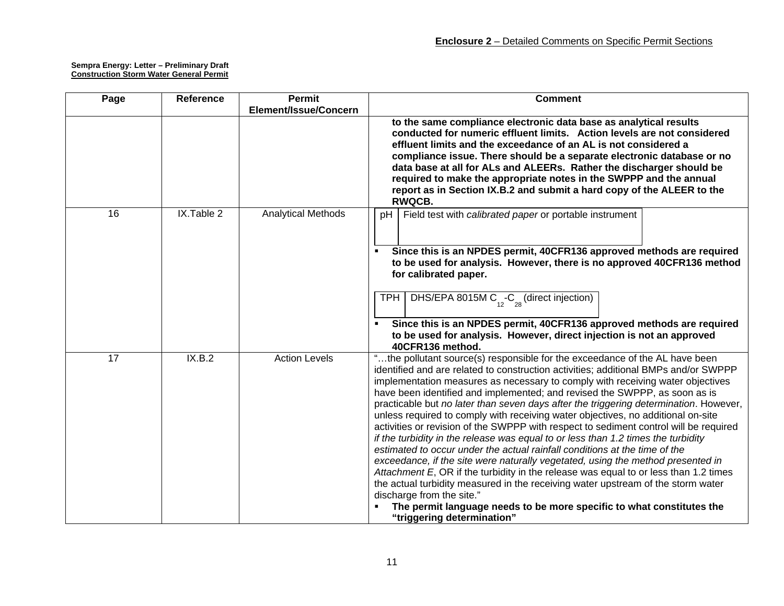| Page | Reference  | <b>Permit</b>             | <b>Comment</b>                                                                                                                                                          |
|------|------------|---------------------------|-------------------------------------------------------------------------------------------------------------------------------------------------------------------------|
|      |            | Element/Issue/Concern     |                                                                                                                                                                         |
|      |            |                           | to the same compliance electronic data base as analytical results                                                                                                       |
|      |            |                           | conducted for numeric effluent limits. Action levels are not considered                                                                                                 |
|      |            |                           | effluent limits and the exceedance of an AL is not considered a                                                                                                         |
|      |            |                           | compliance issue. There should be a separate electronic database or no                                                                                                  |
|      |            |                           | data base at all for ALs and ALEERs. Rather the discharger should be                                                                                                    |
|      |            |                           | required to make the appropriate notes in the SWPPP and the annual                                                                                                      |
|      |            |                           | report as in Section IX.B.2 and submit a hard copy of the ALEER to the                                                                                                  |
| 16   | IX.Table 2 | <b>Analytical Methods</b> | <b>RWQCB.</b>                                                                                                                                                           |
|      |            |                           | Field test with calibrated paper or portable instrument<br>рH                                                                                                           |
|      |            |                           |                                                                                                                                                                         |
|      |            |                           |                                                                                                                                                                         |
|      |            |                           | Since this is an NPDES permit, 40CFR136 approved methods are required                                                                                                   |
|      |            |                           | to be used for analysis. However, there is no approved 40CFR136 method<br>for calibrated paper.                                                                         |
|      |            |                           |                                                                                                                                                                         |
|      |            |                           | <b>TPH</b>                                                                                                                                                              |
|      |            |                           | DHS/EPA 8015M $C_{12}$ - $C_{28}$ (direct injection)                                                                                                                    |
|      |            |                           |                                                                                                                                                                         |
|      |            |                           | Since this is an NPDES permit, 40CFR136 approved methods are required<br>to be used for analysis. However, direct injection is not an approved                          |
|      |            |                           | 40CFR136 method.                                                                                                                                                        |
| 17   | IX.B.2     | <b>Action Levels</b>      | "the pollutant source(s) responsible for the exceedance of the AL have been                                                                                             |
|      |            |                           | identified and are related to construction activities; additional BMPs and/or SWPPP                                                                                     |
|      |            |                           | implementation measures as necessary to comply with receiving water objectives                                                                                          |
|      |            |                           | have been identified and implemented; and revised the SWPPP, as soon as is                                                                                              |
|      |            |                           | practicable but no later than seven days after the triggering determination. However,                                                                                   |
|      |            |                           | unless required to comply with receiving water objectives, no additional on-site                                                                                        |
|      |            |                           | activities or revision of the SWPPP with respect to sediment control will be required                                                                                   |
|      |            |                           | if the turbidity in the release was equal to or less than 1.2 times the turbidity                                                                                       |
|      |            |                           | estimated to occur under the actual rainfall conditions at the time of the                                                                                              |
|      |            |                           | exceedance, if the site were naturally vegetated, using the method presented in<br>Attachment E, OR if the turbidity in the release was equal to or less than 1.2 times |
|      |            |                           | the actual turbidity measured in the receiving water upstream of the storm water                                                                                        |
|      |            |                           | discharge from the site."                                                                                                                                               |
|      |            |                           | The permit language needs to be more specific to what constitutes the                                                                                                   |
|      |            |                           | "triggering determination"                                                                                                                                              |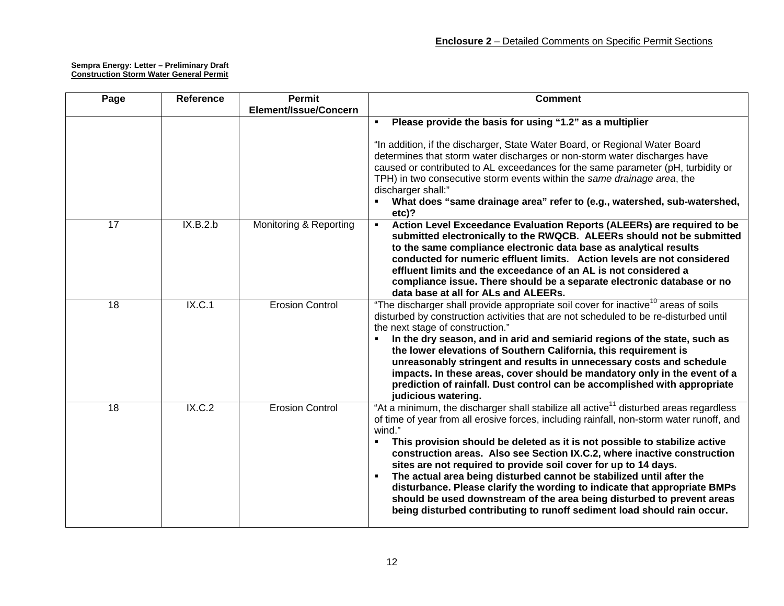| Page            | Reference | <b>Permit</b>          | <b>Comment</b>                                                                                                                                                                                                                                                                                                                                                                                                                                                                                                                                                                                                                                                                                                                                                                     |
|-----------------|-----------|------------------------|------------------------------------------------------------------------------------------------------------------------------------------------------------------------------------------------------------------------------------------------------------------------------------------------------------------------------------------------------------------------------------------------------------------------------------------------------------------------------------------------------------------------------------------------------------------------------------------------------------------------------------------------------------------------------------------------------------------------------------------------------------------------------------|
|                 |           | Element/Issue/Concern  |                                                                                                                                                                                                                                                                                                                                                                                                                                                                                                                                                                                                                                                                                                                                                                                    |
|                 |           |                        | Please provide the basis for using "1.2" as a multiplier<br>$\blacksquare$                                                                                                                                                                                                                                                                                                                                                                                                                                                                                                                                                                                                                                                                                                         |
|                 |           |                        | "In addition, if the discharger, State Water Board, or Regional Water Board<br>determines that storm water discharges or non-storm water discharges have<br>caused or contributed to AL exceedances for the same parameter (pH, turbidity or<br>TPH) in two consecutive storm events within the same drainage area, the<br>discharger shall:"<br>What does "same drainage area" refer to (e.g., watershed, sub-watershed,<br>etc)?                                                                                                                                                                                                                                                                                                                                                 |
| $\overline{17}$ | IX.B.2.b  | Monitoring & Reporting | Action Level Exceedance Evaluation Reports (ALEERs) are required to be<br>$\blacksquare$<br>submitted electronically to the RWQCB. ALEERs should not be submitted<br>to the same compliance electronic data base as analytical results<br>conducted for numeric effluent limits. Action levels are not considered<br>effluent limits and the exceedance of an AL is not considered a<br>compliance issue. There should be a separate electronic database or no<br>data base at all for ALs and ALEERs.                                                                                                                                                                                                                                                                             |
| 18              | IX.C.1    | <b>Erosion Control</b> | "The discharger shall provide appropriate soil cover for inactive <sup>10</sup> areas of soils<br>disturbed by construction activities that are not scheduled to be re-disturbed until<br>the next stage of construction."<br>In the dry season, and in arid and semiarid regions of the state, such as<br>the lower elevations of Southern California, this requirement is<br>unreasonably stringent and results in unnecessary costs and schedule<br>impacts. In these areas, cover should be mandatory only in the event of a<br>prediction of rainfall. Dust control can be accomplished with appropriate<br>judicious watering.                                                                                                                                               |
| 18              | IX.C.2    | <b>Erosion Control</b> | "At a minimum, the discharger shall stabilize all active <sup>11</sup> disturbed areas regardless<br>of time of year from all erosive forces, including rainfall, non-storm water runoff, and<br>wind."<br>This provision should be deleted as it is not possible to stabilize active<br>$\blacksquare$<br>construction areas. Also see Section IX.C.2, where inactive construction<br>sites are not required to provide soil cover for up to 14 days.<br>The actual area being disturbed cannot be stabilized until after the<br>$\blacksquare$<br>disturbance. Please clarify the wording to indicate that appropriate BMPs<br>should be used downstream of the area being disturbed to prevent areas<br>being disturbed contributing to runoff sediment load should rain occur. |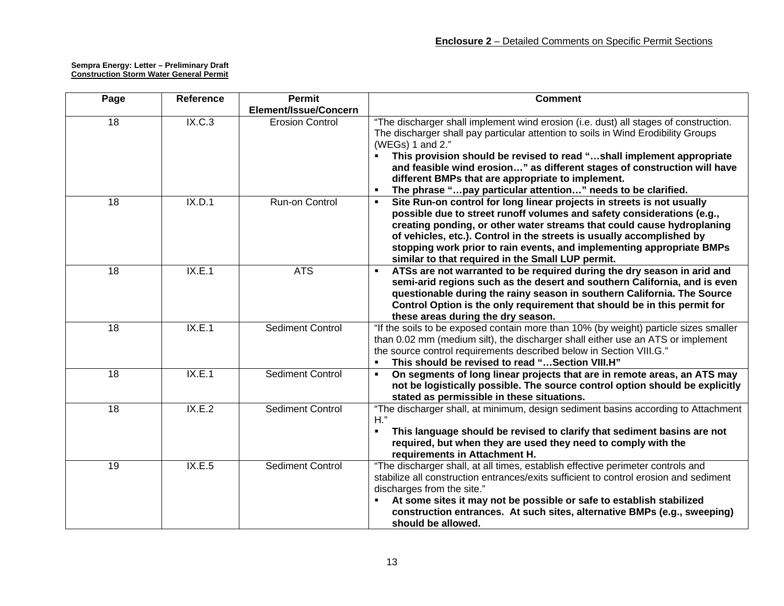| Page            | Reference | <b>Permit</b>           | <b>Comment</b>                                                                                                                                                                                                                                                                                                                                                                                                                                                          |
|-----------------|-----------|-------------------------|-------------------------------------------------------------------------------------------------------------------------------------------------------------------------------------------------------------------------------------------------------------------------------------------------------------------------------------------------------------------------------------------------------------------------------------------------------------------------|
|                 |           | Element/Issue/Concern   |                                                                                                                                                                                                                                                                                                                                                                                                                                                                         |
| $\overline{18}$ | IX.C.3    | <b>Erosion Control</b>  | "The discharger shall implement wind erosion (i.e. dust) all stages of construction.<br>The discharger shall pay particular attention to soils in Wind Erodibility Groups<br>(WEGs) 1 and 2."<br>This provision should be revised to read "shall implement appropriate<br>and feasible wind erosion" as different stages of construction will have<br>different BMPs that are appropriate to implement.<br>The phrase "pay particular attention" needs to be clarified. |
| $\overline{18}$ | IX.D.1    | Run-on Control          | Site Run-on control for long linear projects in streets is not usually<br>possible due to street runoff volumes and safety considerations (e.g.,<br>creating ponding, or other water streams that could cause hydroplaning<br>of vehicles, etc.). Control in the streets is usually accomplished by<br>stopping work prior to rain events, and implementing appropriate BMPs<br>similar to that required in the Small LUP permit.                                       |
| $\overline{18}$ | IX.E.1    | <b>ATS</b>              | ATSs are not warranted to be required during the dry season in arid and<br>$\blacksquare$<br>semi-arid regions such as the desert and southern California, and is even<br>questionable during the rainy season in southern California. The Source<br>Control Option is the only requirement that should be in this permit for<br>these areas during the dry season.                                                                                                     |
| $\overline{18}$ | IX.E.1    | <b>Sediment Control</b> | "If the soils to be exposed contain more than 10% (by weight) particle sizes smaller<br>than 0.02 mm (medium silt), the discharger shall either use an ATS or implement<br>the source control requirements described below in Section VIII.G."<br>This should be revised to read " Section VIII.H"                                                                                                                                                                      |
| 18              | IX.E.1    | <b>Sediment Control</b> | On segments of long linear projects that are in remote areas, an ATS may<br>not be logistically possible. The source control option should be explicitly<br>stated as permissible in these situations.                                                                                                                                                                                                                                                                  |
| $\overline{18}$ | IX.E.2    | Sediment Control        | "The discharger shall, at minimum, design sediment basins according to Attachment<br>$H$ ."<br>This language should be revised to clarify that sediment basins are not<br>required, but when they are used they need to comply with the<br>requirements in Attachment H.                                                                                                                                                                                                |
| 19              | IX.E.5    | <b>Sediment Control</b> | "The discharger shall, at all times, establish effective perimeter controls and<br>stabilize all construction entrances/exits sufficient to control erosion and sediment<br>discharges from the site."<br>At some sites it may not be possible or safe to establish stabilized<br>construction entrances. At such sites, alternative BMPs (e.g., sweeping)<br>should be allowed.                                                                                        |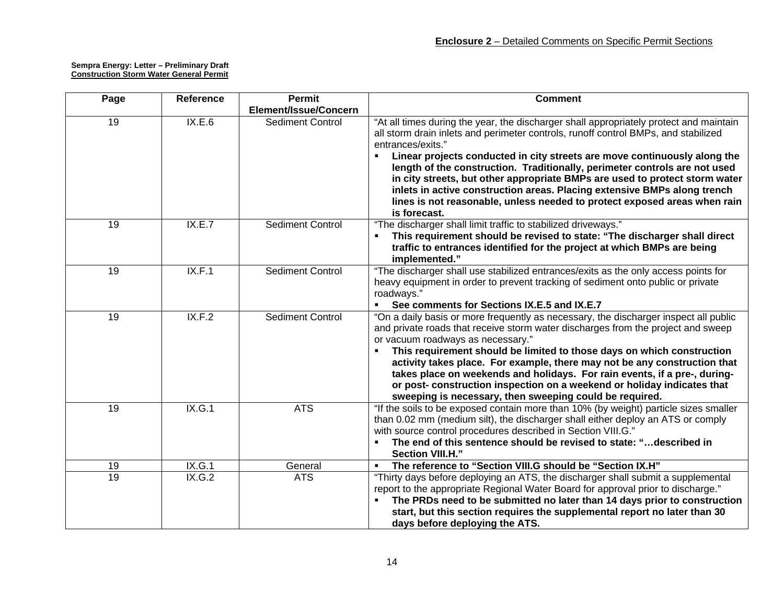| Page            | Reference | Permit                  | <b>Comment</b>                                                                                                                                                                                                                                                                                                                                                                                                                                                                                                                                                                                                       |
|-----------------|-----------|-------------------------|----------------------------------------------------------------------------------------------------------------------------------------------------------------------------------------------------------------------------------------------------------------------------------------------------------------------------------------------------------------------------------------------------------------------------------------------------------------------------------------------------------------------------------------------------------------------------------------------------------------------|
|                 |           | Element/Issue/Concern   |                                                                                                                                                                                                                                                                                                                                                                                                                                                                                                                                                                                                                      |
| $\overline{19}$ | IX.E.6    | <b>Sediment Control</b> | "At all times during the year, the discharger shall appropriately protect and maintain<br>all storm drain inlets and perimeter controls, runoff control BMPs, and stabilized<br>entrances/exits."<br>Linear projects conducted in city streets are move continuously along the<br>length of the construction. Traditionally, perimeter controls are not used<br>in city streets, but other appropriate BMPs are used to protect storm water<br>inlets in active construction areas. Placing extensive BMPs along trench<br>lines is not reasonable, unless needed to protect exposed areas when rain<br>is forecast. |
| 19              | IX.E.7    | <b>Sediment Control</b> | "The discharger shall limit traffic to stabilized driveways."<br>This requirement should be revised to state: "The discharger shall direct<br>traffic to entrances identified for the project at which BMPs are being<br>implemented."                                                                                                                                                                                                                                                                                                                                                                               |
| $\overline{19}$ | IX.F.1    | <b>Sediment Control</b> | "The discharger shall use stabilized entrances/exits as the only access points for<br>heavy equipment in order to prevent tracking of sediment onto public or private<br>roadways."<br>See comments for Sections IX.E.5 and IX.E.7                                                                                                                                                                                                                                                                                                                                                                                   |
| 19              | IX.F.2    | <b>Sediment Control</b> | "On a daily basis or more frequently as necessary, the discharger inspect all public<br>and private roads that receive storm water discharges from the project and sweep<br>or vacuum roadways as necessary."<br>This requirement should be limited to those days on which construction<br>activity takes place. For example, there may not be any construction that<br>takes place on weekends and holidays. For rain events, if a pre-, during-<br>or post- construction inspection on a weekend or holiday indicates that<br>sweeping is necessary, then sweeping could be required.                              |
| 19              | IX.G.1    | <b>ATS</b>              | "If the soils to be exposed contain more than 10% (by weight) particle sizes smaller<br>than 0.02 mm (medium silt), the discharger shall either deploy an ATS or comply<br>with source control procedures described in Section VIII.G."<br>The end of this sentence should be revised to state: "described in<br>Section VIII.H."                                                                                                                                                                                                                                                                                    |
| 19              | IX.G.1    | General                 | The reference to "Section VIII.G should be "Section IX.H"                                                                                                                                                                                                                                                                                                                                                                                                                                                                                                                                                            |
| $\overline{19}$ | IX.G.2    | <b>ATS</b>              | "Thirty days before deploying an ATS, the discharger shall submit a supplemental<br>report to the appropriate Regional Water Board for approval prior to discharge."<br>The PRDs need to be submitted no later than 14 days prior to construction<br>start, but this section requires the supplemental report no later than 30<br>days before deploying the ATS.                                                                                                                                                                                                                                                     |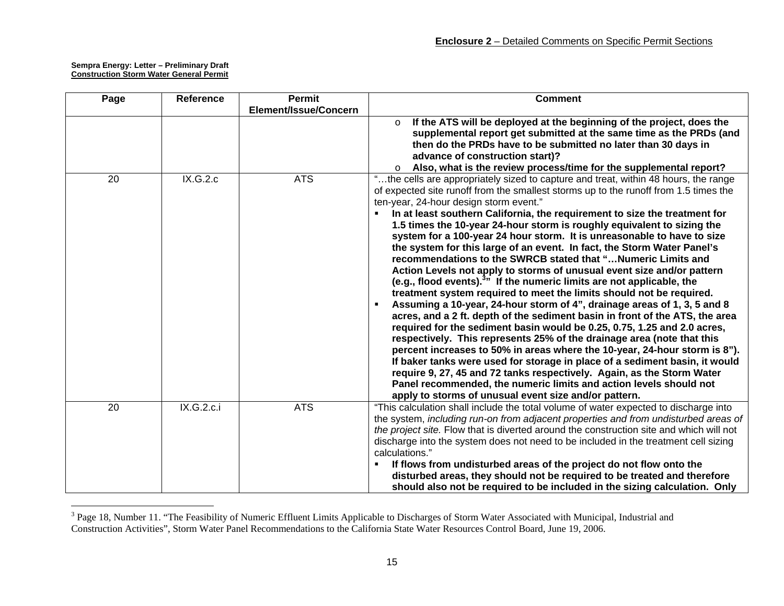| Page | <b>Reference</b> | Permit                | <b>Comment</b>                                                                          |
|------|------------------|-----------------------|-----------------------------------------------------------------------------------------|
|      |                  | Element/Issue/Concern |                                                                                         |
|      |                  |                       | If the ATS will be deployed at the beginning of the project, does the<br>$\circ$        |
|      |                  |                       | supplemental report get submitted at the same time as the PRDs (and                     |
|      |                  |                       | then do the PRDs have to be submitted no later than 30 days in                          |
|      |                  |                       | advance of construction start)?                                                         |
|      |                  |                       | Also, what is the review process/time for the supplemental report?<br>$\circ$           |
| 20   | IX.G.2.c         | <b>ATS</b>            | "the cells are appropriately sized to capture and treat, within 48 hours, the range     |
|      |                  |                       | of expected site runoff from the smallest storms up to the runoff from 1.5 times the    |
|      |                  |                       | ten-year, 24-hour design storm event."                                                  |
|      |                  |                       | In at least southern California, the requirement to size the treatment for              |
|      |                  |                       | 1.5 times the 10-year 24-hour storm is roughly equivalent to sizing the                 |
|      |                  |                       | system for a 100-year 24 hour storm. It is unreasonable to have to size                 |
|      |                  |                       | the system for this large of an event. In fact, the Storm Water Panel's                 |
|      |                  |                       | recommendations to the SWRCB stated that "Numeric Limits and                            |
|      |                  |                       | Action Levels not apply to storms of unusual event size and/or pattern                  |
|      |                  |                       | (e.g., flood events). <sup>3</sup> If the numeric limits are not applicable, the        |
|      |                  |                       | treatment system required to meet the limits should not be required.                    |
|      |                  |                       | Assuming a 10-year, 24-hour storm of 4", drainage areas of 1, 3, 5 and 8                |
|      |                  |                       | acres, and a 2 ft. depth of the sediment basin in front of the ATS, the area            |
|      |                  |                       | required for the sediment basin would be 0.25, 0.75, 1.25 and 2.0 acres,                |
|      |                  |                       | respectively. This represents 25% of the drainage area (note that this                  |
|      |                  |                       | percent increases to 50% in areas where the 10-year, 24-hour storm is 8").              |
|      |                  |                       | If baker tanks were used for storage in place of a sediment basin, it would             |
|      |                  |                       | require 9, 27, 45 and 72 tanks respectively. Again, as the Storm Water                  |
|      |                  |                       | Panel recommended, the numeric limits and action levels should not                      |
|      |                  |                       | apply to storms of unusual event size and/or pattern.                                   |
| 20   | IX.G.2.c.i       | <b>ATS</b>            | "This calculation shall include the total volume of water expected to discharge into    |
|      |                  |                       | the system, including run-on from adjacent properties and from undisturbed areas of     |
|      |                  |                       | the project site. Flow that is diverted around the construction site and which will not |
|      |                  |                       | discharge into the system does not need to be included in the treatment cell sizing     |
|      |                  |                       | calculations."                                                                          |
|      |                  |                       | If flows from undisturbed areas of the project do not flow onto the                     |
|      |                  |                       | disturbed areas, they should not be required to be treated and therefore                |
|      |                  |                       | should also not be required to be included in the sizing calculation. Only              |

 $3$  Page 18, Number 11. "The Feasibility of Numeric Effluent Limits Applicable to Discharges of Storm Water Associated with Municipal, Industrial and Construction Activities", Storm Water Panel Recommendations to the California State Water Resources Control Board, June 19, 2006.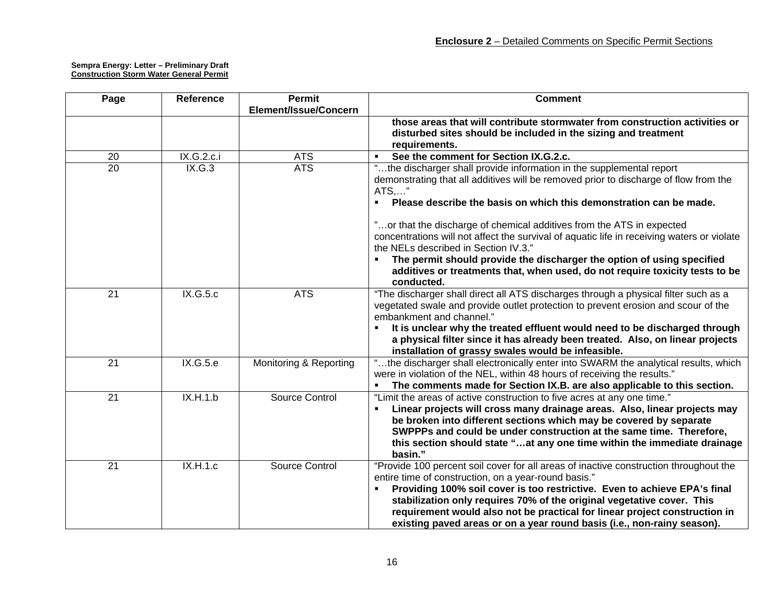| Page            | <b>Reference</b> | <b>Permit</b>          | <b>Comment</b>                                                                             |
|-----------------|------------------|------------------------|--------------------------------------------------------------------------------------------|
|                 |                  | Element/Issue/Concern  |                                                                                            |
|                 |                  |                        | those areas that will contribute stormwater from construction activities or                |
|                 |                  |                        | disturbed sites should be included in the sizing and treatment                             |
|                 |                  |                        | requirements.                                                                              |
| 20              | IX.G.2.c.i       | <b>ATS</b>             | See the comment for Section IX.G.2.c.                                                      |
| $\overline{20}$ | IX.G.3           | <b>ATS</b>             | "the discharger shall provide information in the supplemental report                       |
|                 |                  |                        | demonstrating that all additives will be removed prior to discharge of flow from the       |
|                 |                  |                        | ATS,"                                                                                      |
|                 |                  |                        | Please describe the basis on which this demonstration can be made.                         |
|                 |                  |                        | "or that the discharge of chemical additives from the ATS in expected                      |
|                 |                  |                        | concentrations will not affect the survival of aquatic life in receiving waters or violate |
|                 |                  |                        | the NELs described in Section IV.3."                                                       |
|                 |                  |                        | The permit should provide the discharger the option of using specified                     |
|                 |                  |                        | additives or treatments that, when used, do not require toxicity tests to be<br>conducted. |
| $\overline{21}$ | IX.G.5.c         | <b>ATS</b>             | "The discharger shall direct all ATS discharges through a physical filter such as a        |
|                 |                  |                        | vegetated swale and provide outlet protection to prevent erosion and scour of the          |
|                 |                  |                        | embankment and channel."                                                                   |
|                 |                  |                        | It is unclear why the treated effluent would need to be discharged through                 |
|                 |                  |                        | a physical filter since it has already been treated. Also, on linear projects              |
|                 |                  |                        | installation of grassy swales would be infeasible.                                         |
| 21              | IX.G.5.e         | Monitoring & Reporting | "the discharger shall electronically enter into SWARM the analytical results, which        |
|                 |                  |                        | were in violation of the NEL, within 48 hours of receiving the results."                   |
|                 |                  |                        | The comments made for Section IX.B. are also applicable to this section.                   |
| 21              | IX.H.1.b         | Source Control         | "Limit the areas of active construction to five acres at any one time."                    |
|                 |                  |                        | Linear projects will cross many drainage areas. Also, linear projects may                  |
|                 |                  |                        | be broken into different sections which may be covered by separate                         |
|                 |                  |                        | SWPPPs and could be under construction at the same time. Therefore,                        |
|                 |                  |                        | this section should state "at any one time within the immediate drainage<br>basin."        |
| 21              | IX.H.1.c         | Source Control         | "Provide 100 percent soil cover for all areas of inactive construction throughout the      |
|                 |                  |                        | entire time of construction, on a year-round basis."                                       |
|                 |                  |                        | Providing 100% soil cover is too restrictive. Even to achieve EPA's final                  |
|                 |                  |                        | stabilization only requires 70% of the original vegetative cover. This                     |
|                 |                  |                        | requirement would also not be practical for linear project construction in                 |
|                 |                  |                        | existing paved areas or on a year round basis (i.e., non-rainy season).                    |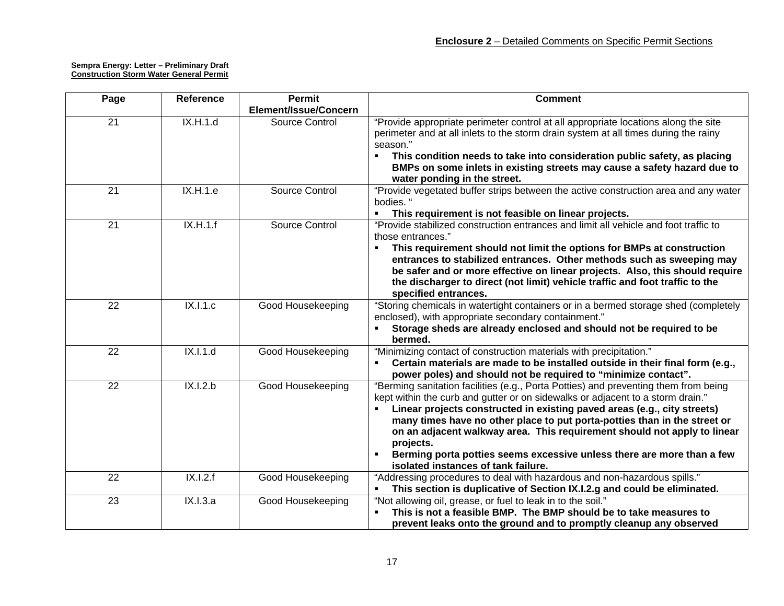| Page            | <b>Reference</b> | <b>Permit</b>                           | <b>Comment</b>                                                                                                                                                                                                                                                                                                                                                                                                                                                                                                                           |
|-----------------|------------------|-----------------------------------------|------------------------------------------------------------------------------------------------------------------------------------------------------------------------------------------------------------------------------------------------------------------------------------------------------------------------------------------------------------------------------------------------------------------------------------------------------------------------------------------------------------------------------------------|
| 21              | IX.H.1.d         | Element/Issue/Concern<br>Source Control | "Provide appropriate perimeter control at all appropriate locations along the site<br>perimeter and at all inlets to the storm drain system at all times during the rainy<br>season."<br>This condition needs to take into consideration public safety, as placing<br>BMPs on some inlets in existing streets may cause a safety hazard due to<br>water ponding in the street.                                                                                                                                                           |
| $\overline{21}$ | IX.H.1.e         | Source Control                          | "Provide vegetated buffer strips between the active construction area and any water<br>bodies. "<br>This requirement is not feasible on linear projects.                                                                                                                                                                                                                                                                                                                                                                                 |
| $\overline{21}$ | IX.H.1.f         | Source Control                          | "Provide stabilized construction entrances and limit all vehicle and foot traffic to<br>those entrances."<br>This requirement should not limit the options for BMPs at construction<br>entrances to stabilized entrances. Other methods such as sweeping may<br>be safer and or more effective on linear projects. Also, this should require<br>the discharger to direct (not limit) vehicle traffic and foot traffic to the<br>specified entrances.                                                                                     |
| 22              | IX.1.1.c         | Good Housekeeping                       | "Storing chemicals in watertight containers or in a bermed storage shed (completely<br>enclosed), with appropriate secondary containment."<br>Storage sheds are already enclosed and should not be required to be<br>bermed.                                                                                                                                                                                                                                                                                                             |
| 22              | IX.I.1.d         | Good Housekeeping                       | "Minimizing contact of construction materials with precipitation."<br>Certain materials are made to be installed outside in their final form (e.g.,<br>power poles) and should not be required to "minimize contact".                                                                                                                                                                                                                                                                                                                    |
| 22              | IX.1.2.b         | Good Housekeeping                       | "Berming sanitation facilities (e.g., Porta Potties) and preventing them from being<br>kept within the curb and gutter or on sidewalks or adjacent to a storm drain."<br>Linear projects constructed in existing paved areas (e.g., city streets)<br>many times have no other place to put porta-potties than in the street or<br>on an adjacent walkway area. This requirement should not apply to linear<br>projects.<br>Berming porta potties seems excessive unless there are more than a few<br>isolated instances of tank failure. |
| $\overline{22}$ | IX.1.2.f         | Good Housekeeping                       | "Addressing procedures to deal with hazardous and non-hazardous spills."<br>This section is duplicative of Section IX.I.2.g and could be eliminated.                                                                                                                                                                                                                                                                                                                                                                                     |
| 23              | IX.I.3.a         | Good Housekeeping                       | "Not allowing oil, grease, or fuel to leak in to the soil."<br>This is not a feasible BMP. The BMP should be to take measures to<br>prevent leaks onto the ground and to promptly cleanup any observed                                                                                                                                                                                                                                                                                                                                   |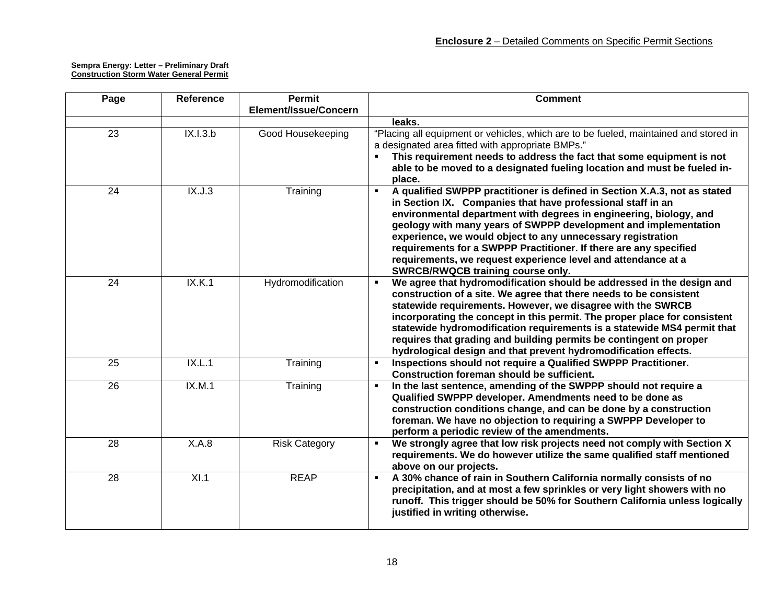| Page            | <b>Reference</b> | <b>Permit</b>         | <b>Comment</b>                                                                                                                                                                                                                                                                                                                                                                                                                                                                                                                                |
|-----------------|------------------|-----------------------|-----------------------------------------------------------------------------------------------------------------------------------------------------------------------------------------------------------------------------------------------------------------------------------------------------------------------------------------------------------------------------------------------------------------------------------------------------------------------------------------------------------------------------------------------|
|                 |                  | Element/Issue/Concern |                                                                                                                                                                                                                                                                                                                                                                                                                                                                                                                                               |
|                 |                  |                       | leaks.                                                                                                                                                                                                                                                                                                                                                                                                                                                                                                                                        |
| $\overline{23}$ | IX.I.3.b         | Good Housekeeping     | "Placing all equipment or vehicles, which are to be fueled, maintained and stored in<br>a designated area fitted with appropriate BMPs."<br>This requirement needs to address the fact that some equipment is not<br>able to be moved to a designated fueling location and must be fueled in-<br>place.                                                                                                                                                                                                                                       |
| $\overline{24}$ | IX.J.3           | Training              | A qualified SWPPP practitioner is defined in Section X.A.3, not as stated<br>$\blacksquare$<br>in Section IX. Companies that have professional staff in an<br>environmental department with degrees in engineering, biology, and<br>geology with many years of SWPPP development and implementation<br>experience, we would object to any unnecessary registration<br>requirements for a SWPPP Practitioner. If there are any specified<br>requirements, we request experience level and attendance at a<br>SWRCB/RWQCB training course only. |
| 24              | IX.K.1           | Hydromodification     | We agree that hydromodification should be addressed in the design and<br>$\blacksquare$<br>construction of a site. We agree that there needs to be consistent<br>statewide requirements. However, we disagree with the SWRCB<br>incorporating the concept in this permit. The proper place for consistent<br>statewide hydromodification requirements is a statewide MS4 permit that<br>requires that grading and building permits be contingent on proper<br>hydrological design and that prevent hydromodification effects.                 |
| $\overline{25}$ | IX.L.1           | Training              | Inspections should not require a Qualified SWPPP Practitioner.<br>$\blacksquare$<br>Construction foreman should be sufficient.                                                                                                                                                                                                                                                                                                                                                                                                                |
| $\overline{26}$ | IX.M.1           | Training              | In the last sentence, amending of the SWPPP should not require a<br>$\blacksquare$<br>Qualified SWPPP developer. Amendments need to be done as<br>construction conditions change, and can be done by a construction<br>foreman. We have no objection to requiring a SWPPP Developer to<br>perform a periodic review of the amendments.                                                                                                                                                                                                        |
| 28              | X.A.8            | <b>Risk Category</b>  | We strongly agree that low risk projects need not comply with Section X<br>٠<br>requirements. We do however utilize the same qualified staff mentioned<br>above on our projects.                                                                                                                                                                                                                                                                                                                                                              |
| 28              | X1.1             | <b>REAP</b>           | A 30% chance of rain in Southern California normally consists of no<br>$\blacksquare$<br>precipitation, and at most a few sprinkles or very light showers with no<br>runoff. This trigger should be 50% for Southern California unless logically<br>justified in writing otherwise.                                                                                                                                                                                                                                                           |